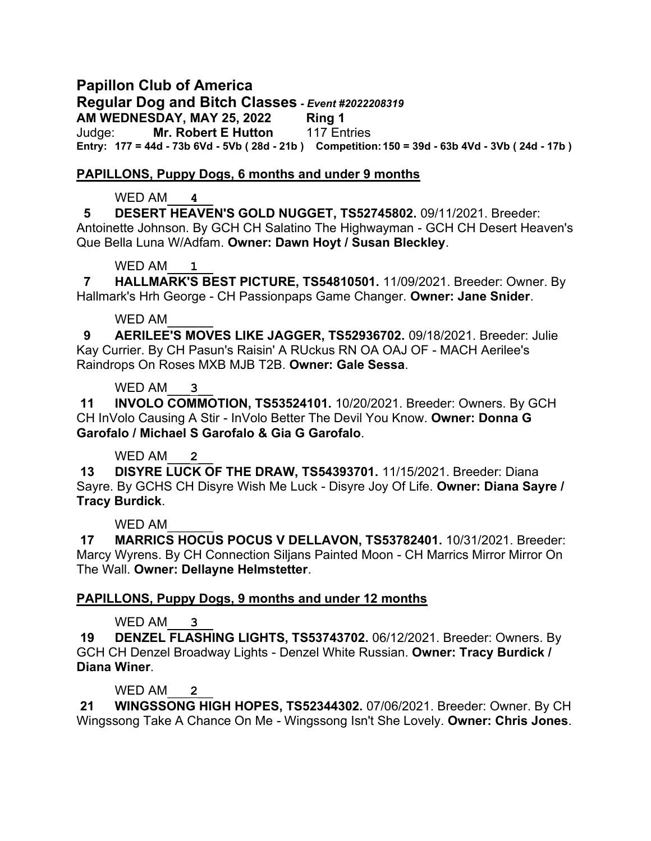# **Papillon Club of America**

**Regular Dog and Bitch Classes** *- Event #2022208319*

**AM WEDNESDAY, MAY 25, 2022 Ring 1**

Judge: **Mr. Robert E Hutton** 117 Entries **Entry: 177 = 44d - 73b 6Vd - 5Vb ( 28d - 21b ) Competition:150 = 39d - 63b 4Vd - 3Vb ( 24d - 17b )**

# **PAPILLONS, Puppy Dogs, 6 months and under 9 months**

# WED AM\_\_\_**4**\_\_

**5 DESERT HEAVEN'S GOLD NUGGET, TS52745802.** 09/11/2021. Breeder:

Antoinette Johnson. By GCH CH Salatino The Highwayman - GCH CH Desert Heaven's Que Bella Luna W/Adfam. **Owner: Dawn Hoyt / Susan Bleckley**.

# WED AM\_\_\_**1**\_\_

 **7 HALLMARK'S BEST PICTURE, TS54810501.** 11/09/2021. Breeder: Owner. By Hallmark's Hrh George - CH Passionpaps Game Changer. **Owner: Jane Snider**.

# WED AM

 **9 AERILEE'S MOVES LIKE JAGGER, TS52936702.** 09/18/2021. Breeder: Julie Kay Currier. By CH Pasun's Raisin' A RUckus RN OA OAJ OF - MACH Aerilee's Raindrops On Roses MXB MJB T2B. **Owner: Gale Sessa**.

# WED AM<sub>3</sub>

**11 INVOLO COMMOTION, TS53524101.** 10/20/2021. Breeder: Owners. By GCH CH InVolo Causing A Stir - InVolo Better The Devil You Know. **Owner: Donna G Garofalo / Michael S Garofalo & Gia G Garofalo**.

# WED AM<sub>2</sub>

**13 DISYRE LUCK OF THE DRAW, TS54393701.** 11/15/2021. Breeder: Diana Sayre. By GCHS CH Disyre Wish Me Luck - Disyre Joy Of Life. **Owner: Diana Sayre / Tracy Burdick**.

# WED AM

**17 MARRICS HOCUS POCUS V DELLAVON, TS53782401.** 10/31/2021. Breeder: Marcy Wyrens. By CH Connection Siljans Painted Moon - CH Marrics Mirror Mirror On The Wall. **Owner: Dellayne Helmstetter**.

# **PAPILLONS, Puppy Dogs, 9 months and under 12 months**

WED AM<sub>3</sub>

**19 DENZEL FLASHING LIGHTS, TS53743702.** 06/12/2021. Breeder: Owners. By GCH CH Denzel Broadway Lights - Denzel White Russian. **Owner: Tracy Burdick / Diana Winer**.

WED AM<sub>2</sub>

**21 WINGSSONG HIGH HOPES, TS52344302.** 07/06/2021. Breeder: Owner. By CH Wingssong Take A Chance On Me - Wingssong Isn't She Lovely. **Owner: Chris Jones**.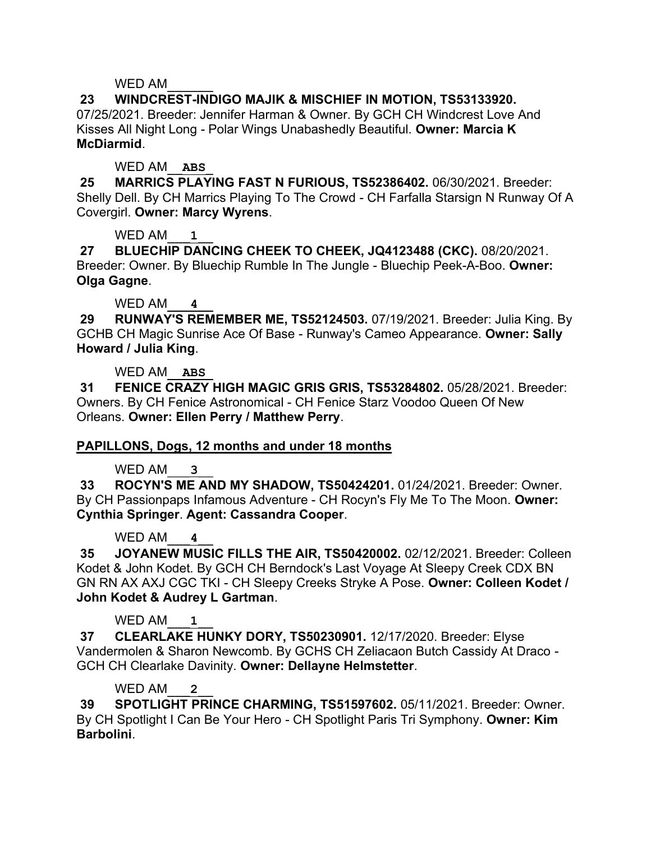**23 WINDCREST-INDIGO MAJIK & MISCHIEF IN MOTION, TS53133920.**  07/25/2021. Breeder: Jennifer Harman & Owner. By GCH CH Windcrest Love And Kisses All Night Long - Polar Wings Unabashedly Beautiful. **Owner: Marcia K McDiarmid**.

# WED AM\_\_**ABS**\_

**25 MARRICS PLAYING FAST N FURIOUS, TS52386402.** 06/30/2021. Breeder: Shelly Dell. By CH Marrics Playing To The Crowd - CH Farfalla Starsign N Runway Of A Covergirl. **Owner: Marcy Wyrens**.

# WED AM<sub>1</sub>

**27 BLUECHIP DANCING CHEEK TO CHEEK, JQ4123488 (CKC).** 08/20/2021. Breeder: Owner. By Bluechip Rumble In The Jungle - Bluechip Peek-A-Boo. **Owner: Olga Gagne**.

# WED AM<sub>4</sub>

**29 RUNWAY'S REMEMBER ME, TS52124503.** 07/19/2021. Breeder: Julia King. By GCHB CH Magic Sunrise Ace Of Base - Runway's Cameo Appearance. **Owner: Sally Howard / Julia King**.

# WED AM\_\_**ABS**\_

**31 FENICE CRAZY HIGH MAGIC GRIS GRIS, TS53284802.** 05/28/2021. Breeder: Owners. By CH Fenice Astronomical - CH Fenice Starz Voodoo Queen Of New Orleans. **Owner: Ellen Perry / Matthew Perry**.

# **PAPILLONS, Dogs, 12 months and under 18 months**

# WED AM<sub>3</sub>

**33 ROCYN'S ME AND MY SHADOW, TS50424201.** 01/24/2021. Breeder: Owner. By CH Passionpaps Infamous Adventure - CH Rocyn's Fly Me To The Moon. **Owner: Cynthia Springer**. **Agent: Cassandra Cooper**.

# WED AM<sub>4</sub>

**35 JOYANEW MUSIC FILLS THE AIR, TS50420002.** 02/12/2021. Breeder: Colleen Kodet & John Kodet. By GCH CH Berndock's Last Voyage At Sleepy Creek CDX BN GN RN AX AXJ CGC TKI - CH Sleepy Creeks Stryke A Pose. **Owner: Colleen Kodet / John Kodet & Audrey L Gartman**.

# WED AM<sub>1</sub>

**37 CLEARLAKE HUNKY DORY, TS50230901.** 12/17/2020. Breeder: Elyse Vandermolen & Sharon Newcomb. By GCHS CH Zeliacaon Butch Cassidy At Draco - GCH CH Clearlake Davinity. **Owner: Dellayne Helmstetter**.

# WED AM<sub>2</sub>

**39 SPOTLIGHT PRINCE CHARMING, TS51597602.** 05/11/2021. Breeder: Owner. By CH Spotlight I Can Be Your Hero - CH Spotlight Paris Tri Symphony. **Owner: Kim Barbolini**.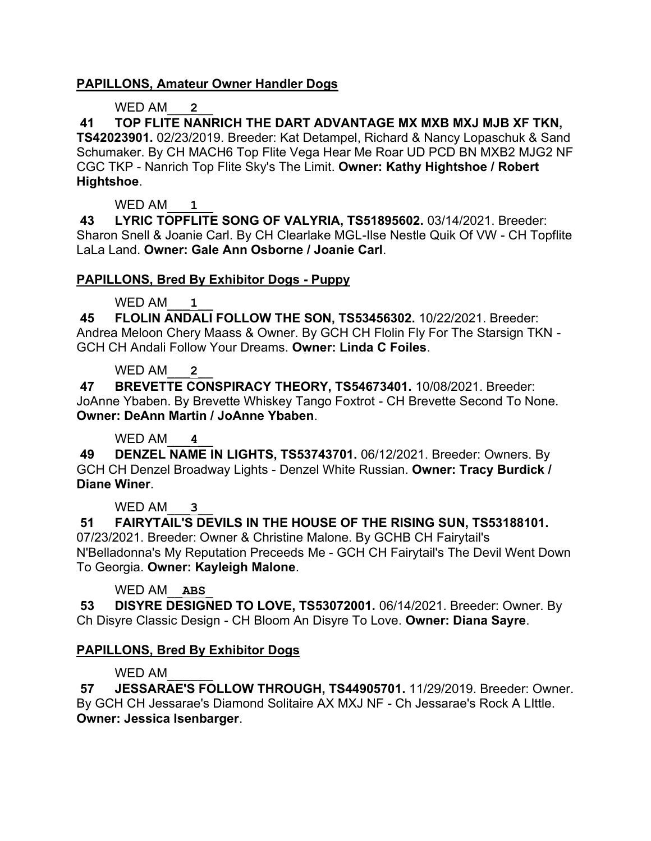## **PAPILLONS, Amateur Owner Handler Dogs**

## WED AM<sub>2</sub>

**41 TOP FLITE NANRICH THE DART ADVANTAGE MX MXB MXJ MJB XF TKN, TS42023901.** 02/23/2019. Breeder: Kat Detampel, Richard & Nancy Lopaschuk & Sand Schumaker. By CH MACH6 Top Flite Vega Hear Me Roar UD PCD BN MXB2 MJG2 NF CGC TKP - Nanrich Top Flite Sky's The Limit. **Owner: Kathy Hightshoe / Robert Hightshoe**.

WED AM<sub>1</sub>

**43 LYRIC TOPFLITE SONG OF VALYRIA, TS51895602.** 03/14/2021. Breeder: Sharon Snell & Joanie Carl. By CH Clearlake MGL-Ilse Nestle Quik Of VW - CH Topflite LaLa Land. **Owner: Gale Ann Osborne / Joanie Carl**.

### **PAPILLONS, Bred By Exhibitor Dogs - Puppy**

## WED AM<sub>1</sub>

**45 FLOLIN ANDALI FOLLOW THE SON, TS53456302.** 10/22/2021. Breeder: Andrea Meloon Chery Maass & Owner. By GCH CH Flolin Fly For The Starsign TKN - GCH CH Andali Follow Your Dreams. **Owner: Linda C Foiles**.

## WED AM

**47 BREVETTE CONSPIRACY THEORY, TS54673401.** 10/08/2021. Breeder: JoAnne Ybaben. By Brevette Whiskey Tango Foxtrot - CH Brevette Second To None. **Owner: DeAnn Martin / JoAnne Ybaben**.

## WED AM\_\_\_**4**\_\_

**49 DENZEL NAME IN LIGHTS, TS53743701.** 06/12/2021. Breeder: Owners. By GCH CH Denzel Broadway Lights - Denzel White Russian. **Owner: Tracy Burdick / Diane Winer**.

#### WED AM<sub>3</sub>

**51 FAIRYTAIL'S DEVILS IN THE HOUSE OF THE RISING SUN, TS53188101.**  07/23/2021. Breeder: Owner & Christine Malone. By GCHB CH Fairytail's N'Belladonna's My Reputation Preceeds Me - GCH CH Fairytail's The Devil Went Down To Georgia. **Owner: Kayleigh Malone**.

## WED AM\_\_**ABS**\_

**53 DISYRE DESIGNED TO LOVE, TS53072001.** 06/14/2021. Breeder: Owner. By Ch Disyre Classic Design - CH Bloom An Disyre To Love. **Owner: Diana Sayre**.

## **PAPILLONS, Bred By Exhibitor Dogs**

## WED AM

**57 JESSARAE'S FOLLOW THROUGH, TS44905701.** 11/29/2019. Breeder: Owner. By GCH CH Jessarae's Diamond Solitaire AX MXJ NF - Ch Jessarae's Rock A LIttle. **Owner: Jessica Isenbarger**.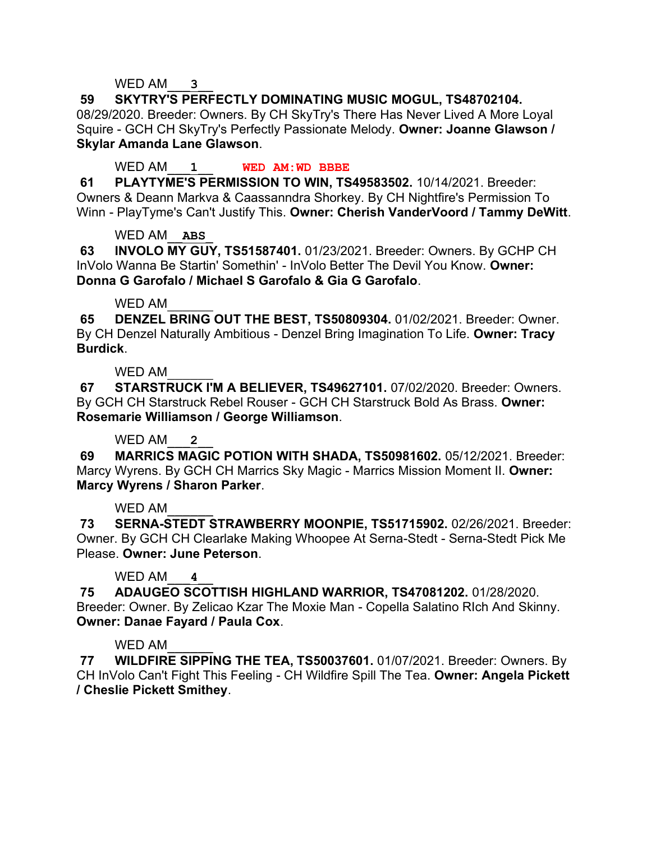## WED AM<sub>3</sub>

**59 SKYTRY'S PERFECTLY DOMINATING MUSIC MOGUL, TS48702104.**  08/29/2020. Breeder: Owners. By CH SkyTry's There Has Never Lived A More Loyal Squire - GCH CH SkyTry's Perfectly Passionate Melody. **Owner: Joanne Glawson / Skylar Amanda Lane Glawson**.

## WED AM\_\_\_**1**\_\_ **WED AM:WD BBBE**

**61 PLAYTYME'S PERMISSION TO WIN, TS49583502.** 10/14/2021. Breeder: Owners & Deann Markva & Caassanndra Shorkey. By CH Nightfire's Permission To Winn - PlayTyme's Can't Justify This. **Owner: Cherish VanderVoord / Tammy DeWitt**.

# WED AM\_\_**ABS**\_

**63 INVOLO MY GUY, TS51587401.** 01/23/2021. Breeder: Owners. By GCHP CH InVolo Wanna Be Startin' Somethin' - InVolo Better The Devil You Know. **Owner: Donna G Garofalo / Michael S Garofalo & Gia G Garofalo**.

### WED AM

**65 DENZEL BRING OUT THE BEST, TS50809304.** 01/02/2021. Breeder: Owner. By CH Denzel Naturally Ambitious - Denzel Bring Imagination To Life. **Owner: Tracy Burdick**.

## WFD AM

**67 STARSTRUCK I'M A BELIEVER, TS49627101.** 07/02/2020. Breeder: Owners. By GCH CH Starstruck Rebel Rouser - GCH CH Starstruck Bold As Brass. **Owner: Rosemarie Williamson / George Williamson**.

## WED AM\_\_\_**2**\_\_

**69 MARRICS MAGIC POTION WITH SHADA, TS50981602.** 05/12/2021. Breeder: Marcy Wyrens. By GCH CH Marrics Sky Magic - Marrics Mission Moment II. **Owner: Marcy Wyrens / Sharon Parker**.

## WED AM

**73 SERNA-STEDT STRAWBERRY MOONPIE, TS51715902.** 02/26/2021. Breeder: Owner. By GCH CH Clearlake Making Whoopee At Serna-Stedt - Serna-Stedt Pick Me Please. **Owner: June Peterson**.

## WED AM<sub>4</sub>

**75 ADAUGEO SCOTTISH HIGHLAND WARRIOR, TS47081202.** 01/28/2020. Breeder: Owner. By Zelicao Kzar The Moxie Man - Copella Salatino RIch And Skinny. **Owner: Danae Fayard / Paula Cox**.

## WFD AM

**77 WILDFIRE SIPPING THE TEA, TS50037601.** 01/07/2021. Breeder: Owners. By CH InVolo Can't Fight This Feeling - CH Wildfire Spill The Tea. **Owner: Angela Pickett / Cheslie Pickett Smithey**.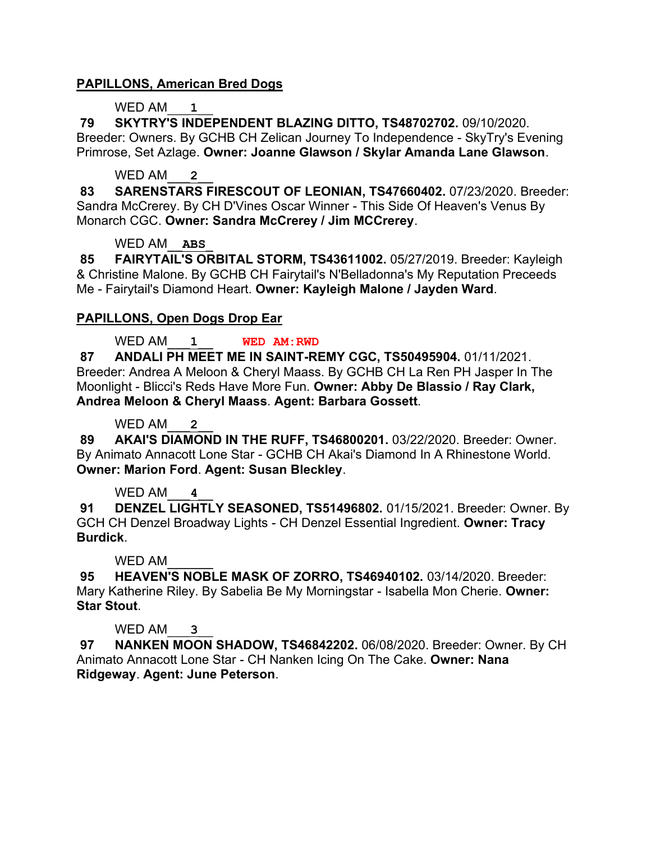## **PAPILLONS, American Bred Dogs**

## WED AM<sub>1</sub>

**79 SKYTRY'S INDEPENDENT BLAZING DITTO, TS48702702.** 09/10/2020. Breeder: Owners. By GCHB CH Zelican Journey To Independence - SkyTry's Evening Primrose, Set Azlage. **Owner: Joanne Glawson / Skylar Amanda Lane Glawson**.

## WED AM<sub>2</sub>

**83 SARENSTARS FIRESCOUT OF LEONIAN, TS47660402.** 07/23/2020. Breeder: Sandra McCrerey. By CH D'Vines Oscar Winner - This Side Of Heaven's Venus By Monarch CGC. **Owner: Sandra McCrerey / Jim MCCrerey**.

### WED AM\_\_**ABS**\_

**85 FAIRYTAIL'S ORBITAL STORM, TS43611002.** 05/27/2019. Breeder: Kayleigh & Christine Malone. By GCHB CH Fairytail's N'Belladonna's My Reputation Preceeds Me - Fairytail's Diamond Heart. **Owner: Kayleigh Malone / Jayden Ward**.

# **PAPILLONS, Open Dogs Drop Ear**

WED AM\_\_\_**1**\_\_ **WED AM:RWD**

**87 ANDALI PH MEET ME IN SAINT-REMY CGC, TS50495904.** 01/11/2021. Breeder: Andrea A Meloon & Cheryl Maass. By GCHB CH La Ren PH Jasper In The Moonlight - Blicci's Reds Have More Fun. **Owner: Abby De Blassio / Ray Clark, Andrea Meloon & Cheryl Maass**. **Agent: Barbara Gossett**.

WED AM<sub>2</sub>

**89 AKAI'S DIAMOND IN THE RUFF, TS46800201.** 03/22/2020. Breeder: Owner. By Animato Annacott Lone Star - GCHB CH Akai's Diamond In A Rhinestone World. **Owner: Marion Ford**. **Agent: Susan Bleckley**.

## WED AM<sub>4</sub>

**91 DENZEL LIGHTLY SEASONED, TS51496802.** 01/15/2021. Breeder: Owner. By GCH CH Denzel Broadway Lights - CH Denzel Essential Ingredient. **Owner: Tracy Burdick**.

## WED AM

**95 HEAVEN'S NOBLE MASK OF ZORRO, TS46940102.** 03/14/2020. Breeder: Mary Katherine Riley. By Sabelia Be My Morningstar - Isabella Mon Cherie. **Owner: Star Stout**.

## WED AM\_\_\_**3**\_\_

**97 NANKEN MOON SHADOW, TS46842202.** 06/08/2020. Breeder: Owner. By CH Animato Annacott Lone Star - CH Nanken Icing On The Cake. **Owner: Nana Ridgeway**. **Agent: June Peterson**.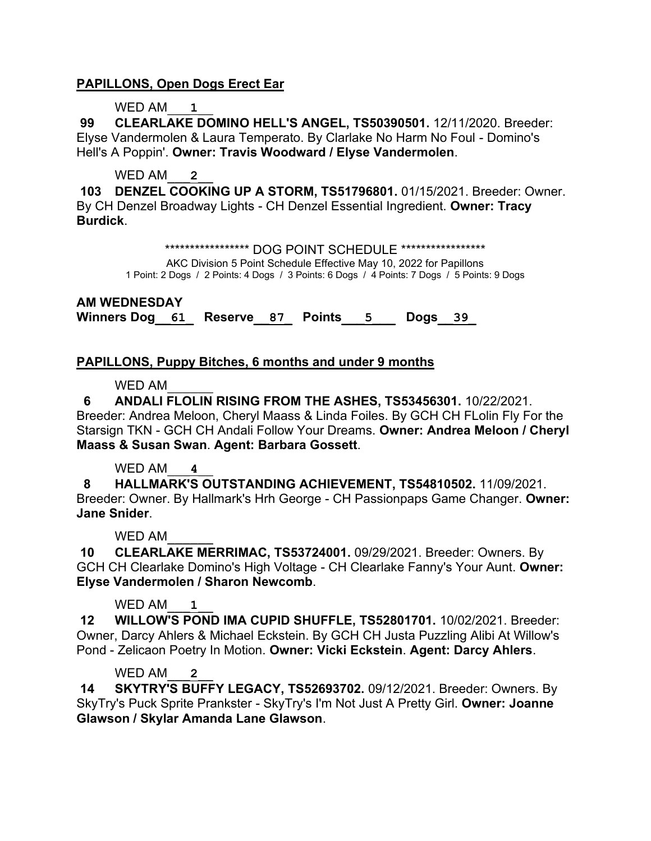## **PAPILLONS, Open Dogs Erect Ear**

### WED AM<sub>1</sub>

**99 CLEARLAKE DOMINO HELL'S ANGEL, TS50390501.** 12/11/2020. Breeder: Elyse Vandermolen & Laura Temperato. By Clarlake No Harm No Foul - Domino's Hell's A Poppin'. **Owner: Travis Woodward / Elyse Vandermolen**.

### WED AM<sub>2</sub>

**103 DENZEL COOKING UP A STORM, TS51796801.** 01/15/2021. Breeder: Owner. By CH Denzel Broadway Lights - CH Denzel Essential Ingredient. **Owner: Tracy Burdick**.

\*\*\*\*\*\*\*\*\*\*\*\*\*\*\*\*\*\* DOG POINT SCHEDULE \*\*\*\*\*\*\*\*\*\*\*\*\*\*\*\*\*\*

AKC Division 5 Point Schedule Effective May 10, 2022 for Papillons

1 Point: 2 Dogs / 2 Points: 4 Dogs / 3 Points: 6 Dogs / 4 Points: 7 Dogs / 5 Points: 9 Dogs

**AM WEDNESDAY Winners Dog\_\_61\_ Reserve\_\_87\_ Points\_\_\_5\_\_\_ Dogs\_\_39\_**

## **PAPILLONS, Puppy Bitches, 6 months and under 9 months**

#### WFD AM

 **6 ANDALI FLOLIN RISING FROM THE ASHES, TS53456301.** 10/22/2021. Breeder: Andrea Meloon, Cheryl Maass & Linda Foiles. By GCH CH FLolin Fly For the Starsign TKN - GCH CH Andali Follow Your Dreams. **Owner: Andrea Meloon / Cheryl Maass & Susan Swan**. **Agent: Barbara Gossett**.

## WED AM<sub>4</sub>

 **8 HALLMARK'S OUTSTANDING ACHIEVEMENT, TS54810502.** 11/09/2021. Breeder: Owner. By Hallmark's Hrh George - CH Passionpaps Game Changer. **Owner: Jane Snider**.

#### WFD AM

**10 CLEARLAKE MERRIMAC, TS53724001.** 09/29/2021. Breeder: Owners. By GCH CH Clearlake Domino's High Voltage - CH Clearlake Fanny's Your Aunt. **Owner: Elyse Vandermolen / Sharon Newcomb**.

## WED AM<sub>1</sub>

**12 WILLOW'S POND IMA CUPID SHUFFLE, TS52801701.** 10/02/2021. Breeder: Owner, Darcy Ahlers & Michael Eckstein. By GCH CH Justa Puzzling Alibi At Willow's Pond - Zelicaon Poetry In Motion. **Owner: Vicki Eckstein**. **Agent: Darcy Ahlers**.

## WED AM<sub>2</sub>

**14 SKYTRY'S BUFFY LEGACY, TS52693702.** 09/12/2021. Breeder: Owners. By SkyTry's Puck Sprite Prankster - SkyTry's I'm Not Just A Pretty Girl. **Owner: Joanne Glawson / Skylar Amanda Lane Glawson**.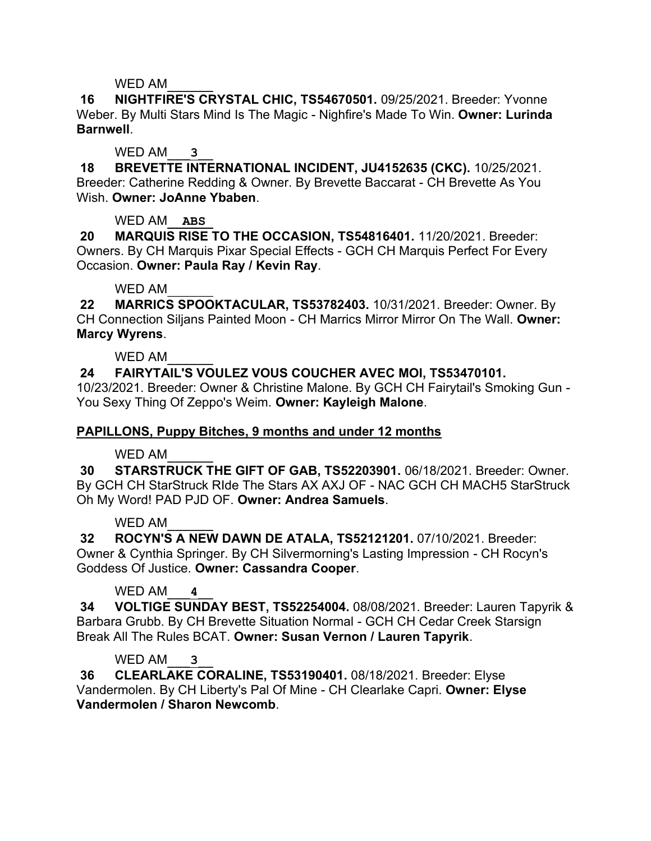**16 NIGHTFIRE'S CRYSTAL CHIC, TS54670501.** 09/25/2021. Breeder: Yvonne Weber. By Multi Stars Mind Is The Magic - Nighfire's Made To Win. **Owner: Lurinda Barnwell**.

## WED AM<sub>3</sub>

**18 BREVETTE INTERNATIONAL INCIDENT, JU4152635 (CKC).** 10/25/2021. Breeder: Catherine Redding & Owner. By Brevette Baccarat - CH Brevette As You Wish. **Owner: JoAnne Ybaben**.

WED AM\_\_**ABS**\_

**20 MARQUIS RISE TO THE OCCASION, TS54816401.** 11/20/2021. Breeder: Owners. By CH Marquis Pixar Special Effects - GCH CH Marquis Perfect For Every Occasion. **Owner: Paula Ray / Kevin Ray**.

WED AM

**22 MARRICS SPOOKTACULAR, TS53782403.** 10/31/2021. Breeder: Owner. By CH Connection Siljans Painted Moon - CH Marrics Mirror Mirror On The Wall. **Owner: Marcy Wyrens**.

WED AM

## **24 FAIRYTAIL'S VOULEZ VOUS COUCHER AVEC MOI, TS53470101.**

10/23/2021. Breeder: Owner & Christine Malone. By GCH CH Fairytail's Smoking Gun - You Sexy Thing Of Zeppo's Weim. **Owner: Kayleigh Malone**.

## **PAPILLONS, Puppy Bitches, 9 months and under 12 months**

WED AM

**30 STARSTRUCK THE GIFT OF GAB, TS52203901.** 06/18/2021. Breeder: Owner. By GCH CH StarStruck RIde The Stars AX AXJ OF - NAC GCH CH MACH5 StarStruck Oh My Word! PAD PJD OF. **Owner: Andrea Samuels**.

WFD AM

**32 ROCYN'S A NEW DAWN DE ATALA, TS52121201.** 07/10/2021. Breeder: Owner & Cynthia Springer. By CH Silvermorning's Lasting Impression - CH Rocyn's Goddess Of Justice. **Owner: Cassandra Cooper**.

## WED AM<sub>4</sub>

**34 VOLTIGE SUNDAY BEST, TS52254004.** 08/08/2021. Breeder: Lauren Tapyrik & Barbara Grubb. By CH Brevette Situation Normal - GCH CH Cedar Creek Starsign Break All The Rules BCAT. **Owner: Susan Vernon / Lauren Tapyrik**.

## WED AM<sub>3</sub>

**36 CLEARLAKE CORALINE, TS53190401.** 08/18/2021. Breeder: Elyse Vandermolen. By CH Liberty's Pal Of Mine - CH Clearlake Capri. **Owner: Elyse Vandermolen / Sharon Newcomb**.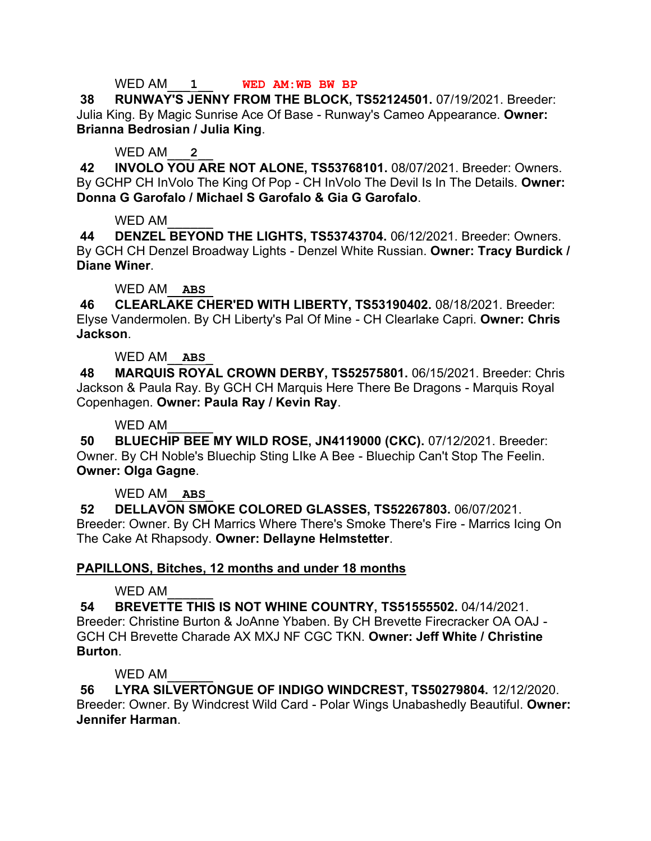### WED AM\_\_\_**1**\_\_ **WED AM:WB BW BP**

**38 RUNWAY'S JENNY FROM THE BLOCK, TS52124501.** 07/19/2021. Breeder: Julia King. By Magic Sunrise Ace Of Base - Runway's Cameo Appearance. **Owner: Brianna Bedrosian / Julia King**.

### WED AM<sub>2</sub>

**42 INVOLO YOU ARE NOT ALONE, TS53768101.** 08/07/2021. Breeder: Owners. By GCHP CH InVolo The King Of Pop - CH InVolo The Devil Is In The Details. **Owner: Donna G Garofalo / Michael S Garofalo & Gia G Garofalo**.

### WED AM

**44 DENZEL BEYOND THE LIGHTS, TS53743704.** 06/12/2021. Breeder: Owners. By GCH CH Denzel Broadway Lights - Denzel White Russian. **Owner: Tracy Burdick / Diane Winer**.

## WED AM\_\_**ABS**\_

**46 CLEARLAKE CHER'ED WITH LIBERTY, TS53190402.** 08/18/2021. Breeder: Elyse Vandermolen. By CH Liberty's Pal Of Mine - CH Clearlake Capri. **Owner: Chris Jackson**.

## WED AM\_\_**ABS**\_

**48 MARQUIS ROYAL CROWN DERBY, TS52575801.** 06/15/2021. Breeder: Chris Jackson & Paula Ray. By GCH CH Marquis Here There Be Dragons - Marquis Royal Copenhagen. **Owner: Paula Ray / Kevin Ray**.

### WED AM

**50 BLUECHIP BEE MY WILD ROSE, JN4119000 (CKC).** 07/12/2021. Breeder: Owner. By CH Noble's Bluechip Sting LIke A Bee - Bluechip Can't Stop The Feelin. **Owner: Olga Gagne**.

## WED AM\_\_**ABS**\_

**52 DELLAVON SMOKE COLORED GLASSES, TS52267803.** 06/07/2021. Breeder: Owner. By CH Marrics Where There's Smoke There's Fire - Marrics Icing On The Cake At Rhapsody. **Owner: Dellayne Helmstetter**.

## **PAPILLONS, Bitches, 12 months and under 18 months**

## WED AM

**54 BREVETTE THIS IS NOT WHINE COUNTRY, TS51555502.** 04/14/2021. Breeder: Christine Burton & JoAnne Ybaben. By CH Brevette Firecracker OA OAJ - GCH CH Brevette Charade AX MXJ NF CGC TKN. **Owner: Jeff White / Christine Burton**.

## WFD AM

**56 LYRA SILVERTONGUE OF INDIGO WINDCREST, TS50279804.** 12/12/2020. Breeder: Owner. By Windcrest Wild Card - Polar Wings Unabashedly Beautiful. **Owner: Jennifer Harman**.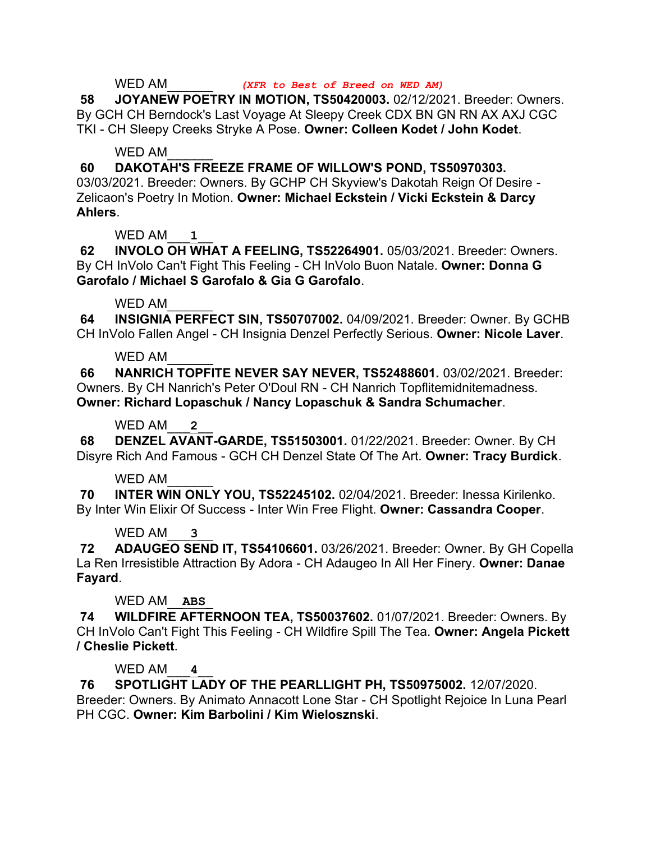## WED AM\_\_\_\_\_\_ *(XFR to Best of Breed on WED AM)*

**58 JOYANEW POETRY IN MOTION, TS50420003.** 02/12/2021. Breeder: Owners. By GCH CH Berndock's Last Voyage At Sleepy Creek CDX BN GN RN AX AXJ CGC TKI - CH Sleepy Creeks Stryke A Pose. **Owner: Colleen Kodet / John Kodet**.

### WED AM

**60 DAKOTAH'S FREEZE FRAME OF WILLOW'S POND, TS50970303.** 

03/03/2021. Breeder: Owners. By GCHP CH Skyview's Dakotah Reign Of Desire - Zelicaon's Poetry In Motion. **Owner: Michael Eckstein / Vicki Eckstein & Darcy Ahlers**.

# WED AM<sub>1</sub>

**62 INVOLO OH WHAT A FEELING, TS52264901.** 05/03/2021. Breeder: Owners. By CH InVolo Can't Fight This Feeling - CH InVolo Buon Natale. **Owner: Donna G Garofalo / Michael S Garofalo & Gia G Garofalo**.

### WED AM

**64 INSIGNIA PERFECT SIN, TS50707002.** 04/09/2021. Breeder: Owner. By GCHB CH InVolo Fallen Angel - CH Insignia Denzel Perfectly Serious. **Owner: Nicole Laver**.

## WED AM

**66 NANRICH TOPFITE NEVER SAY NEVER, TS52488601.** 03/02/2021. Breeder: Owners. By CH Nanrich's Peter O'Doul RN - CH Nanrich Topflitemidnitemadness. **Owner: Richard Lopaschuk / Nancy Lopaschuk & Sandra Schumacher**.

### WED AM<sub>2</sub>

**68 DENZEL AVANT-GARDE, TS51503001.** 01/22/2021. Breeder: Owner. By CH Disyre Rich And Famous - GCH CH Denzel State Of The Art. **Owner: Tracy Burdick**.

## WED AM

**70 INTER WIN ONLY YOU, TS52245102.** 02/04/2021. Breeder: Inessa Kirilenko. By Inter Win Elixir Of Success - Inter Win Free Flight. **Owner: Cassandra Cooper**.

## WED AM<sub>3</sub>

**72 ADAUGEO SEND IT, TS54106601.** 03/26/2021. Breeder: Owner. By GH Copella La Ren Irresistible Attraction By Adora - CH Adaugeo In All Her Finery. **Owner: Danae Fayard**.

## WED AM\_\_**ABS**\_

**74 WILDFIRE AFTERNOON TEA, TS50037602.** 01/07/2021. Breeder: Owners. By CH InVolo Can't Fight This Feeling - CH Wildfire Spill The Tea. **Owner: Angela Pickett / Cheslie Pickett**.

## WED AM<sub>4</sub>

**76 SPOTLIGHT LADY OF THE PEARLLIGHT PH, TS50975002.** 12/07/2020. Breeder: Owners. By Animato Annacott Lone Star - CH Spotlight Rejoice In Luna Pearl PH CGC. **Owner: Kim Barbolini / Kim Wielosznski**.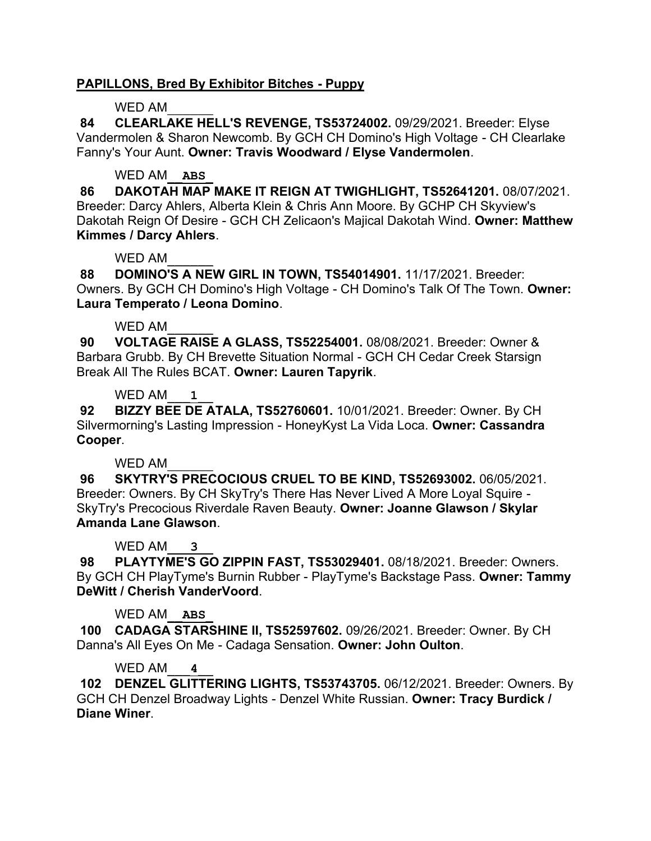## **PAPILLONS, Bred By Exhibitor Bitches - Puppy**

### WED AM

**84 CLEARLAKE HELL'S REVENGE, TS53724002.** 09/29/2021. Breeder: Elyse Vandermolen & Sharon Newcomb. By GCH CH Domino's High Voltage - CH Clearlake Fanny's Your Aunt. **Owner: Travis Woodward / Elyse Vandermolen**.

# WED AM\_\_**ABS**\_

**86 DAKOTAH MAP MAKE IT REIGN AT TWIGHLIGHT, TS52641201.** 08/07/2021. Breeder: Darcy Ahlers, Alberta Klein & Chris Ann Moore. By GCHP CH Skyview's Dakotah Reign Of Desire - GCH CH Zelicaon's Majical Dakotah Wind. **Owner: Matthew Kimmes / Darcy Ahlers**.

### WED AM

**88 DOMINO'S A NEW GIRL IN TOWN, TS54014901.** 11/17/2021. Breeder: Owners. By GCH CH Domino's High Voltage - CH Domino's Talk Of The Town. **Owner: Laura Temperato / Leona Domino**.

### WED AM

**90 VOLTAGE RAISE A GLASS, TS52254001.** 08/08/2021. Breeder: Owner & Barbara Grubb. By CH Brevette Situation Normal - GCH CH Cedar Creek Starsign Break All The Rules BCAT. **Owner: Lauren Tapyrik**.

## WED AM\_\_\_**1**\_\_

**92 BIZZY BEE DE ATALA, TS52760601.** 10/01/2021. Breeder: Owner. By CH Silvermorning's Lasting Impression - HoneyKyst La Vida Loca. **Owner: Cassandra Cooper**.

## WFD AM

**96 SKYTRY'S PRECOCIOUS CRUEL TO BE KIND, TS52693002.** 06/05/2021. Breeder: Owners. By CH SkyTry's There Has Never Lived A More Loyal Squire - SkyTry's Precocious Riverdale Raven Beauty. **Owner: Joanne Glawson / Skylar Amanda Lane Glawson**.

## WED AM<sub>3</sub>

**98 PLAYTYME'S GO ZIPPIN FAST, TS53029401.** 08/18/2021. Breeder: Owners. By GCH CH PlayTyme's Burnin Rubber - PlayTyme's Backstage Pass. **Owner: Tammy DeWitt / Cherish VanderVoord**.

## WED AM\_\_**ABS**\_

**100 CADAGA STARSHINE II, TS52597602.** 09/26/2021. Breeder: Owner. By CH Danna's All Eyes On Me - Cadaga Sensation. **Owner: John Oulton**.

## WED AM<sub>4</sub>

**102 DENZEL GLITTERING LIGHTS, TS53743705.** 06/12/2021. Breeder: Owners. By GCH CH Denzel Broadway Lights - Denzel White Russian. **Owner: Tracy Burdick / Diane Winer**.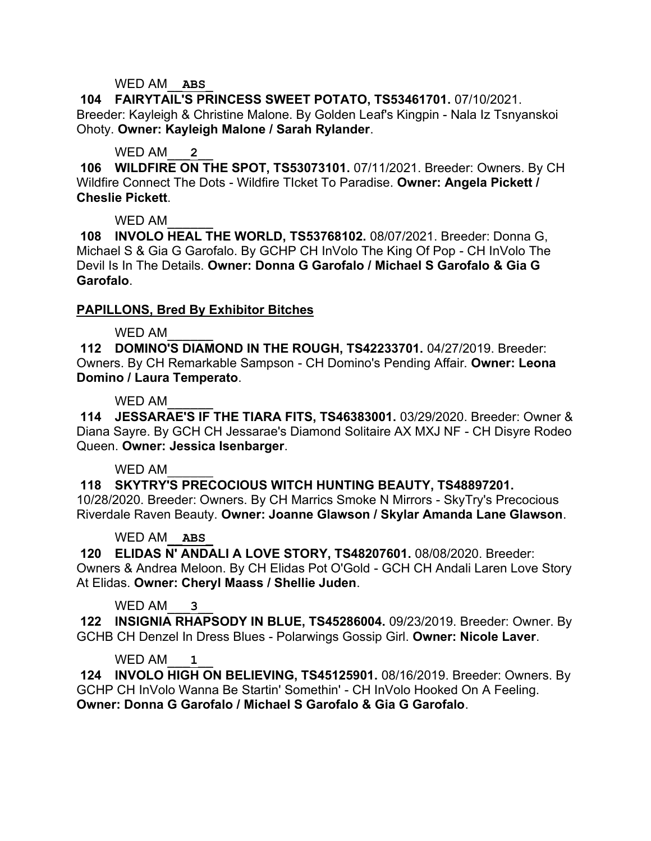### WED AM\_\_**ABS**\_

**104 FAIRYTAIL'S PRINCESS SWEET POTATO, TS53461701.** 07/10/2021. Breeder: Kayleigh & Christine Malone. By Golden Leaf's Kingpin - Nala Iz Tsnyanskoi Ohoty. **Owner: Kayleigh Malone / Sarah Rylander**.

### WED AM<sub>2</sub>

**106 WILDFIRE ON THE SPOT, TS53073101.** 07/11/2021. Breeder: Owners. By CH Wildfire Connect The Dots - Wildfire TIcket To Paradise. **Owner: Angela Pickett / Cheslie Pickett**.

### WED AM

**108 INVOLO HEAL THE WORLD, TS53768102.** 08/07/2021. Breeder: Donna G, Michael S & Gia G Garofalo. By GCHP CH InVolo The King Of Pop - CH InVolo The Devil Is In The Details. **Owner: Donna G Garofalo / Michael S Garofalo & Gia G Garofalo**.

## **PAPILLONS, Bred By Exhibitor Bitches**

### WED AM

**112 DOMINO'S DIAMOND IN THE ROUGH, TS42233701.** 04/27/2019. Breeder: Owners. By CH Remarkable Sampson - CH Domino's Pending Affair. **Owner: Leona Domino / Laura Temperato**.

### WED AM

**114 JESSARAE'S IF THE TIARA FITS, TS46383001.** 03/29/2020. Breeder: Owner & Diana Sayre. By GCH CH Jessarae's Diamond Solitaire AX MXJ NF - CH Disyre Rodeo Queen. **Owner: Jessica Isenbarger**.

#### WED AM

**118 SKYTRY'S PRECOCIOUS WITCH HUNTING BEAUTY, TS48897201.**  10/28/2020. Breeder: Owners. By CH Marrics Smoke N Mirrors - SkyTry's Precocious Riverdale Raven Beauty. **Owner: Joanne Glawson / Skylar Amanda Lane Glawson**.

## WED AM\_\_**ABS**\_

**120 ELIDAS N' ANDALI A LOVE STORY, TS48207601.** 08/08/2020. Breeder: Owners & Andrea Meloon. By CH Elidas Pot O'Gold - GCH CH Andali Laren Love Story At Elidas. **Owner: Cheryl Maass / Shellie Juden**.

## WED AM\_\_\_**3**\_\_

**122 INSIGNIA RHAPSODY IN BLUE, TS45286004.** 09/23/2019. Breeder: Owner. By GCHB CH Denzel In Dress Blues - Polarwings Gossip Girl. **Owner: Nicole Laver**.

#### WED AM<sub>1</sub>

**124 INVOLO HIGH ON BELIEVING, TS45125901.** 08/16/2019. Breeder: Owners. By GCHP CH InVolo Wanna Be Startin' Somethin' - CH InVolo Hooked On A Feeling. **Owner: Donna G Garofalo / Michael S Garofalo & Gia G Garofalo**.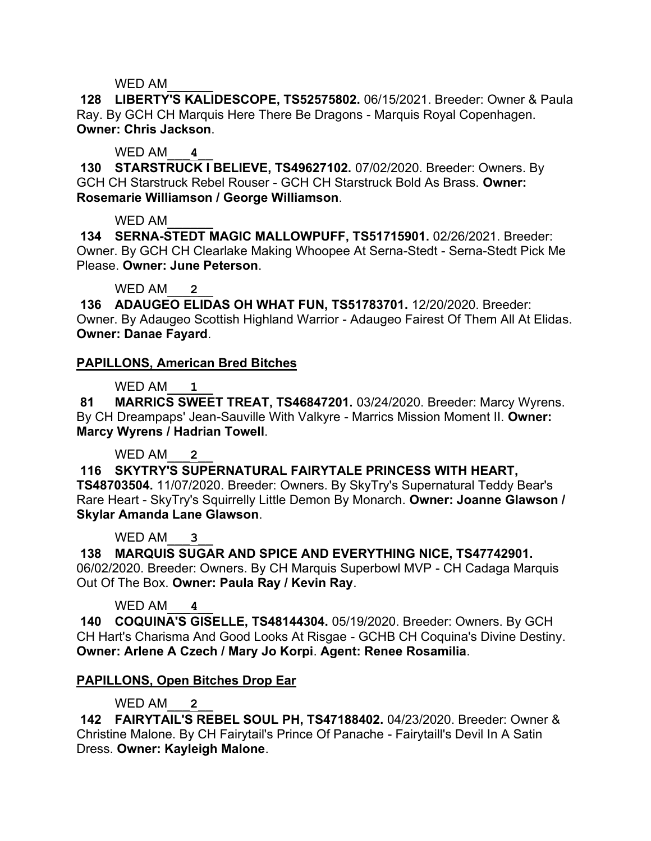**128 LIBERTY'S KALIDESCOPE, TS52575802.** 06/15/2021. Breeder: Owner & Paula Ray. By GCH CH Marquis Here There Be Dragons - Marquis Royal Copenhagen. **Owner: Chris Jackson**.

## WED AM\_\_\_**4**\_\_

**130 STARSTRUCK I BELIEVE, TS49627102.** 07/02/2020. Breeder: Owners. By GCH CH Starstruck Rebel Rouser - GCH CH Starstruck Bold As Brass. **Owner: Rosemarie Williamson / George Williamson**.

### WED AM

**134 SERNA-STEDT MAGIC MALLOWPUFF, TS51715901.** 02/26/2021. Breeder: Owner. By GCH CH Clearlake Making Whoopee At Serna-Stedt - Serna-Stedt Pick Me Please. **Owner: June Peterson**.

# WED AM

**136 ADAUGEO ELIDAS OH WHAT FUN, TS51783701.** 12/20/2020. Breeder: Owner. By Adaugeo Scottish Highland Warrior - Adaugeo Fairest Of Them All At Elidas. **Owner: Danae Fayard**.

## **PAPILLONS, American Bred Bitches**

## WED AM<sub>1</sub>

**81 MARRICS SWEET TREAT, TS46847201.** 03/24/2020. Breeder: Marcy Wyrens. By CH Dreampaps' Jean-Sauville With Valkyre - Marrics Mission Moment II. **Owner: Marcy Wyrens / Hadrian Towell**.

## WED AM<sub>2</sub>

**116 SKYTRY'S SUPERNATURAL FAIRYTALE PRINCESS WITH HEART, TS48703504.** 11/07/2020. Breeder: Owners. By SkyTry's Supernatural Teddy Bear's Rare Heart - SkyTry's Squirrelly Little Demon By Monarch. **Owner: Joanne Glawson / Skylar Amanda Lane Glawson**.

## WED AM<sub>3</sub>

**138 MARQUIS SUGAR AND SPICE AND EVERYTHING NICE, TS47742901.**  06/02/2020. Breeder: Owners. By CH Marquis Superbowl MVP - CH Cadaga Marquis Out Of The Box. **Owner: Paula Ray / Kevin Ray**.

WED AM<sub>4</sub>

**140 COQUINA'S GISELLE, TS48144304.** 05/19/2020. Breeder: Owners. By GCH CH Hart's Charisma And Good Looks At Risgae - GCHB CH Coquina's Divine Destiny. **Owner: Arlene A Czech / Mary Jo Korpi**. **Agent: Renee Rosamilia**.

## **PAPILLONS, Open Bitches Drop Ear**

# WED AM<sub>2</sub>

**142 FAIRYTAIL'S REBEL SOUL PH, TS47188402.** 04/23/2020. Breeder: Owner & Christine Malone. By CH Fairytail's Prince Of Panache - Fairytaill's Devil In A Satin Dress. **Owner: Kayleigh Malone**.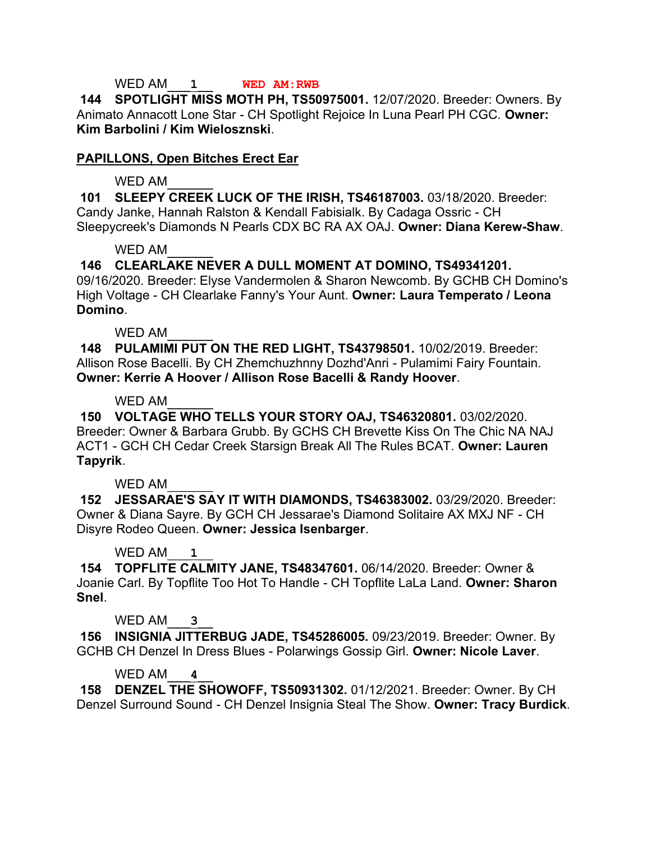### WED AM\_\_\_**1**\_\_ **WED AM:RWB**

**144 SPOTLIGHT MISS MOTH PH, TS50975001.** 12/07/2020. Breeder: Owners. By Animato Annacott Lone Star - CH Spotlight Rejoice In Luna Pearl PH CGC. **Owner: Kim Barbolini / Kim Wielosznski**.

### **PAPILLONS, Open Bitches Erect Ear**

### WED AM

**101 SLEEPY CREEK LUCK OF THE IRISH, TS46187003.** 03/18/2020. Breeder: Candy Janke, Hannah Ralston & Kendall Fabisialk. By Cadaga Ossric - CH Sleepycreek's Diamonds N Pearls CDX BC RA AX OAJ. **Owner: Diana Kerew-Shaw**.

### $WFDAM$

**146 CLEARLAKE NEVER A DULL MOMENT AT DOMINO, TS49341201.**  09/16/2020. Breeder: Elyse Vandermolen & Sharon Newcomb. By GCHB CH Domino's High Voltage - CH Clearlake Fanny's Your Aunt. **Owner: Laura Temperato / Leona** 

# **Domino**.

WFD AM

**148 PULAMIMI PUT ON THE RED LIGHT, TS43798501.** 10/02/2019. Breeder: Allison Rose Bacelli. By CH Zhemchuzhnny Dozhd'Anri - Pulamimi Fairy Fountain. **Owner: Kerrie A Hoover / Allison Rose Bacelli & Randy Hoover**.

### WED AM

**150 VOLTAGE WHO TELLS YOUR STORY OAJ, TS46320801.** 03/02/2020. Breeder: Owner & Barbara Grubb. By GCHS CH Brevette Kiss On The Chic NA NAJ ACT1 - GCH CH Cedar Creek Starsign Break All The Rules BCAT. **Owner: Lauren Tapyrik**.

## WED AM

**152 JESSARAE'S SAY IT WITH DIAMONDS, TS46383002.** 03/29/2020. Breeder: Owner & Diana Sayre. By GCH CH Jessarae's Diamond Solitaire AX MXJ NF - CH Disyre Rodeo Queen. **Owner: Jessica Isenbarger**.

## WED AM\_\_\_**1**\_\_

**154 TOPFLITE CALMITY JANE, TS48347601.** 06/14/2020. Breeder: Owner & Joanie Carl. By Topflite Too Hot To Handle - CH Topflite LaLa Land. **Owner: Sharon Snel**.

## WED AM<sub>3</sub>

**156 INSIGNIA JITTERBUG JADE, TS45286005.** 09/23/2019. Breeder: Owner. By GCHB CH Denzel In Dress Blues - Polarwings Gossip Girl. **Owner: Nicole Laver**.

## WED AM<sub>\_\_\_</sub>4

**158 DENZEL THE SHOWOFF, TS50931302.** 01/12/2021. Breeder: Owner. By CH Denzel Surround Sound - CH Denzel Insignia Steal The Show. **Owner: Tracy Burdick**.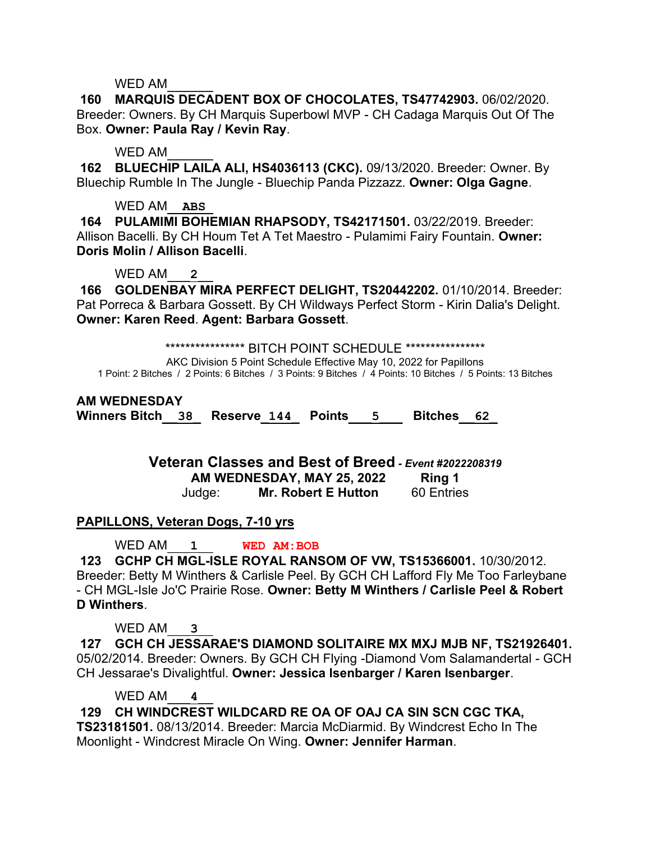**160 MARQUIS DECADENT BOX OF CHOCOLATES, TS47742903.** 06/02/2020. Breeder: Owners. By CH Marquis Superbowl MVP - CH Cadaga Marquis Out Of The Box. **Owner: Paula Ray / Kevin Ray**.

WED AM

**162 BLUECHIP LAILA ALI, HS4036113 (CKC).** 09/13/2020. Breeder: Owner. By Bluechip Rumble In The Jungle - Bluechip Panda Pizzazz. **Owner: Olga Gagne**.

## WED AM\_\_**ABS**\_

**164 PULAMIMI BOHEMIAN RHAPSODY, TS42171501.** 03/22/2019. Breeder: Allison Bacelli. By CH Houm Tet A Tet Maestro - Pulamimi Fairy Fountain. **Owner: Doris Molin / Allison Bacelli**.

WED AM<sub>2</sub>

**166 GOLDENBAY MIRA PERFECT DELIGHT, TS20442202.** 01/10/2014. Breeder: Pat Porreca & Barbara Gossett. By CH Wildways Perfect Storm - Kirin Dalia's Delight. **Owner: Karen Reed**. **Agent: Barbara Gossett**.

\*\*\*\*\*\*\*\*\*\*\*\*\*\*\*\*\*\*\* BITCH POINT SCHEDULE \*\*\*\*\*\*\*\*\*\*\*\*\*\*\*\*\*

AKC Division 5 Point Schedule Effective May 10, 2022 for Papillons 1 Point: 2 Bitches / 2 Points: 6 Bitches / 3 Points: 9 Bitches / 4 Points: 10 Bitches / 5 Points: 13 Bitches

### **AM WEDNESDAY**

**Winners Bitch\_\_38\_ Reserve\_144\_ Points\_\_\_5\_\_\_ Bitches\_\_62\_**

**Veteran Classes and Best of Breed** *- Event #2022208319* **AM WEDNESDAY, MAY 25, 2022 Ring 1** Judge: **Mr. Robert E Hutton** 60 Entries

## **PAPILLONS, Veteran Dogs, 7-10 yrs**

WED AM\_\_\_**1**\_\_ **WED AM:BOB**

**123 GCHP CH MGL-ISLE ROYAL RANSOM OF VW, TS15366001.** 10/30/2012. Breeder: Betty M Winthers & Carlisle Peel. By GCH CH Lafford Fly Me Too Farleybane - CH MGL-Isle Jo'C Prairie Rose. **Owner: Betty M Winthers / Carlisle Peel & Robert D Winthers**.

WED AM<sub>3</sub>

**127 GCH CH JESSARAE'S DIAMOND SOLITAIRE MX MXJ MJB NF, TS21926401.**  05/02/2014. Breeder: Owners. By GCH CH Flying -Diamond Vom Salamandertal - GCH CH Jessarae's Divalightful. **Owner: Jessica Isenbarger / Karen Isenbarger**.

WED AM<sub>4</sub>

**129 CH WINDCREST WILDCARD RE OA OF OAJ CA SIN SCN CGC TKA,** 

**TS23181501.** 08/13/2014. Breeder: Marcia McDiarmid. By Windcrest Echo In The Moonlight - Windcrest Miracle On Wing. **Owner: Jennifer Harman**.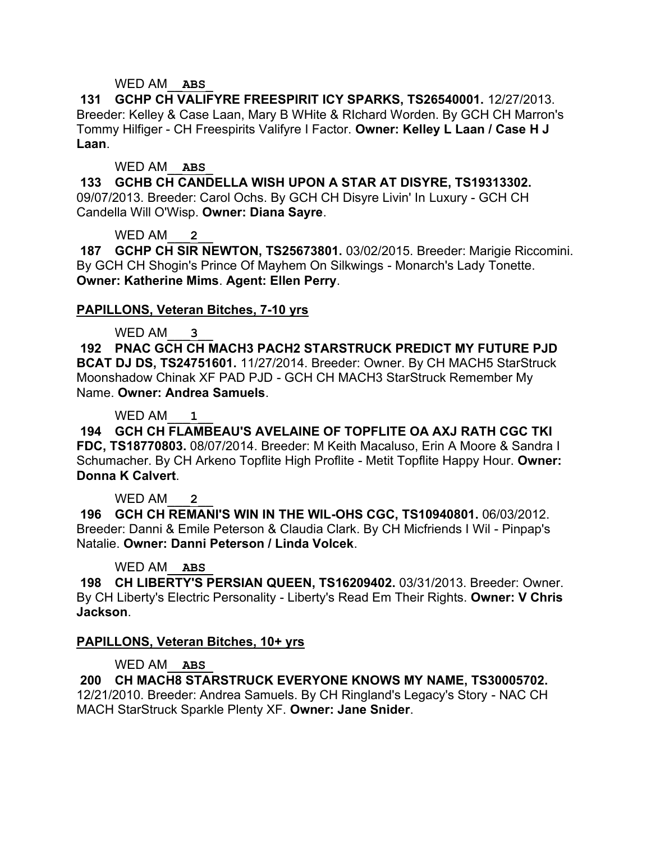### WED AM\_\_**ABS**\_

**131 GCHP CH VALIFYRE FREESPIRIT ICY SPARKS, TS26540001.** 12/27/2013. Breeder: Kelley & Case Laan, Mary B WHite & RIchard Worden. By GCH CH Marron's Tommy Hilfiger - CH Freespirits Valifyre I Factor. **Owner: Kelley L Laan / Case H J Laan**.

### WED AM\_\_**ABS**\_

**133 GCHB CH CANDELLA WISH UPON A STAR AT DISYRE, TS19313302.**  09/07/2013. Breeder: Carol Ochs. By GCH CH Disyre Livin' In Luxury - GCH CH Candella Will O'Wisp. **Owner: Diana Sayre**.

## WED AM<sub>2</sub>

**187 GCHP CH SIR NEWTON, TS25673801.** 03/02/2015. Breeder: Marigie Riccomini. By GCH CH Shogin's Prince Of Mayhem On Silkwings - Monarch's Lady Tonette. **Owner: Katherine Mims**. **Agent: Ellen Perry**.

## **PAPILLONS, Veteran Bitches, 7-10 yrs**

### WED AM<sub>3</sub>

**192 PNAC GCH CH MACH3 PACH2 STARSTRUCK PREDICT MY FUTURE PJD BCAT DJ DS, TS24751601.** 11/27/2014. Breeder: Owner. By CH MACH5 StarStruck Moonshadow Chinak XF PAD PJD - GCH CH MACH3 StarStruck Remember My Name. **Owner: Andrea Samuels**.

### WED AM\_\_\_**1**\_\_

**194 GCH CH FLAMBEAU'S AVELAINE OF TOPFLITE OA AXJ RATH CGC TKI FDC, TS18770803.** 08/07/2014. Breeder: M Keith Macaluso, Erin A Moore & Sandra I Schumacher. By CH Arkeno Topflite High Proflite - Metit Topflite Happy Hour. **Owner: Donna K Calvert**.

## WED AM<sub>2</sub>

**196 GCH CH REMANI'S WIN IN THE WIL-OHS CGC, TS10940801.** 06/03/2012. Breeder: Danni & Emile Peterson & Claudia Clark. By CH Micfriends I Wil - Pinpap's Natalie. **Owner: Danni Peterson / Linda Volcek**.

#### WED AM\_\_**ABS**\_

**198 CH LIBERTY'S PERSIAN QUEEN, TS16209402.** 03/31/2013. Breeder: Owner. By CH Liberty's Electric Personality - Liberty's Read Em Their Rights. **Owner: V Chris Jackson**.

## **PAPILLONS, Veteran Bitches, 10+ yrs**

## WED AM\_\_**ABS**\_

**200 CH MACH8 STARSTRUCK EVERYONE KNOWS MY NAME, TS30005702.**  12/21/2010. Breeder: Andrea Samuels. By CH Ringland's Legacy's Story - NAC CH MACH StarStruck Sparkle Plenty XF. **Owner: Jane Snider**.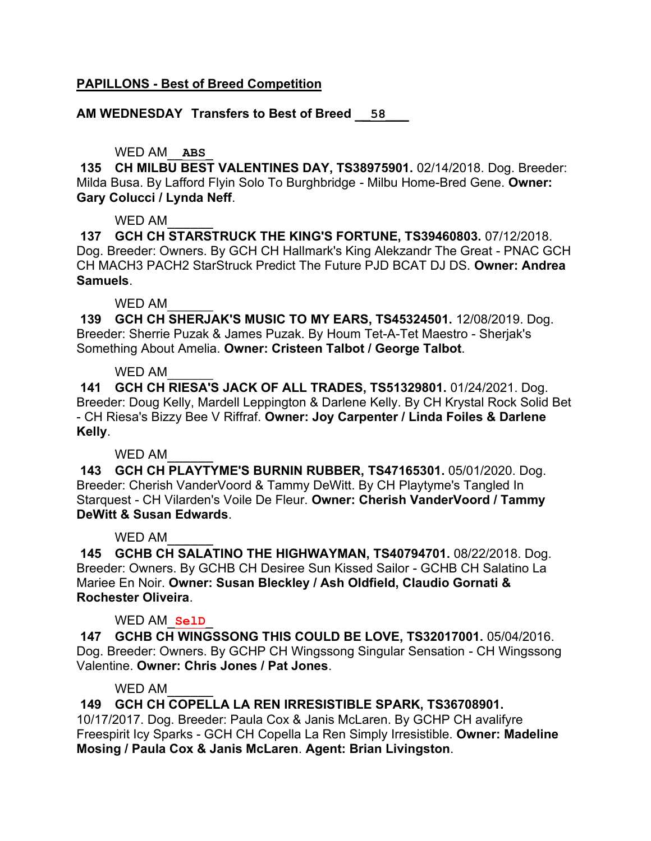### **PAPILLONS - Best of Breed Competition**

**AM WEDNESDAY Transfers to Best of Breed \_\_58\_\_\_**

# WED AM\_\_**ABS**\_

**135 CH MILBU BEST VALENTINES DAY, TS38975901.** 02/14/2018. Dog. Breeder: Milda Busa. By Lafford Flyin Solo To Burghbridge - Milbu Home-Bred Gene. **Owner: Gary Colucci / Lynda Neff**.

### WED AM

**137 GCH CH STARSTRUCK THE KING'S FORTUNE, TS39460803.** 07/12/2018. Dog. Breeder: Owners. By GCH CH Hallmark's King Alekzandr The Great - PNAC GCH CH MACH3 PACH2 StarStruck Predict The Future PJD BCAT DJ DS. **Owner: Andrea Samuels**.

### WED AM

**139 GCH CH SHERJAK'S MUSIC TO MY EARS, TS45324501.** 12/08/2019. Dog. Breeder: Sherrie Puzak & James Puzak. By Houm Tet-A-Tet Maestro - Sherjak's Something About Amelia. **Owner: Cristeen Talbot / George Talbot**.

### WED AM

**141 GCH CH RIESA'S JACK OF ALL TRADES, TS51329801.** 01/24/2021. Dog. Breeder: Doug Kelly, Mardell Leppington & Darlene Kelly. By CH Krystal Rock Solid Bet - CH Riesa's Bizzy Bee V Riffraf. **Owner: Joy Carpenter / Linda Foiles & Darlene Kelly**.

#### WED AM

**143 GCH CH PLAYTYME'S BURNIN RUBBER, TS47165301.** 05/01/2020. Dog. Breeder: Cherish VanderVoord & Tammy DeWitt. By CH Playtyme's Tangled In Starquest - CH Vilarden's Voile De Fleur. **Owner: Cherish VanderVoord / Tammy DeWitt & Susan Edwards**.

#### WED AM

**145 GCHB CH SALATINO THE HIGHWAYMAN, TS40794701.** 08/22/2018. Dog. Breeder: Owners. By GCHB CH Desiree Sun Kissed Sailor - GCHB CH Salatino La Mariee En Noir. **Owner: Susan Bleckley / Ash Oldfield, Claudio Gornati & Rochester Oliveira**.

## WED AM\_**SelD**\_

**147 GCHB CH WINGSSONG THIS COULD BE LOVE, TS32017001.** 05/04/2016. Dog. Breeder: Owners. By GCHP CH Wingssong Singular Sensation - CH Wingssong Valentine. **Owner: Chris Jones / Pat Jones**.

## WED AM

**149 GCH CH COPELLA LA REN IRRESISTIBLE SPARK, TS36708901.** 

10/17/2017. Dog. Breeder: Paula Cox & Janis McLaren. By GCHP CH avalifyre Freespirit Icy Sparks - GCH CH Copella La Ren Simply Irresistible. **Owner: Madeline Mosing / Paula Cox & Janis McLaren**. **Agent: Brian Livingston**.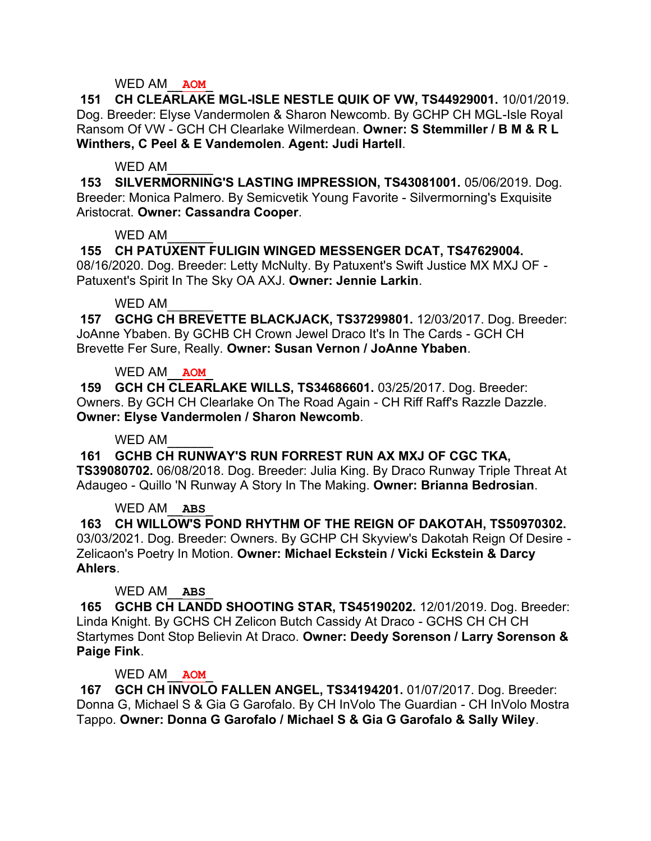### WED AM\_\_**AOM**\_

**151 CH CLEARLAKE MGL-ISLE NESTLE QUIK OF VW, TS44929001.** 10/01/2019. Dog. Breeder: Elyse Vandermolen & Sharon Newcomb. By GCHP CH MGL-Isle Royal Ransom Of VW - GCH CH Clearlake Wilmerdean. **Owner: S Stemmiller / B M & R L Winthers, C Peel & E Vandemolen**. **Agent: Judi Hartell**.

### WED AM

**153 SILVERMORNING'S LASTING IMPRESSION, TS43081001.** 05/06/2019. Dog. Breeder: Monica Palmero. By Semicvetik Young Favorite - Silvermorning's Exquisite Aristocrat. **Owner: Cassandra Cooper**.

### WED AM

**155 CH PATUXENT FULIGIN WINGED MESSENGER DCAT, TS47629004.**  08/16/2020. Dog. Breeder: Letty McNulty. By Patuxent's Swift Justice MX MXJ OF - Patuxent's Spirit In The Sky OA AXJ. **Owner: Jennie Larkin**.

### WED AM

**157 GCHG CH BREVETTE BLACKJACK, TS37299801.** 12/03/2017. Dog. Breeder: JoAnne Ybaben. By GCHB CH Crown Jewel Draco It's In The Cards - GCH CH Brevette Fer Sure, Really. **Owner: Susan Vernon / JoAnne Ybaben**.

## WED AM\_\_**AOM**\_

**159 GCH CH CLEARLAKE WILLS, TS34686601.** 03/25/2017. Dog. Breeder: Owners. By GCH CH Clearlake On The Road Again - CH Riff Raff's Razzle Dazzle. **Owner: Elyse Vandermolen / Sharon Newcomb**.

## WED AM

**161 GCHB CH RUNWAY'S RUN FORREST RUN AX MXJ OF CGC TKA, TS39080702.** 06/08/2018. Dog. Breeder: Julia King. By Draco Runway Triple Threat At Adaugeo - Quillo 'N Runway A Story In The Making. **Owner: Brianna Bedrosian**.

## WED AM\_\_**ABS**\_

**163 CH WILLOW'S POND RHYTHM OF THE REIGN OF DAKOTAH, TS50970302.**  03/03/2021. Dog. Breeder: Owners. By GCHP CH Skyview's Dakotah Reign Of Desire - Zelicaon's Poetry In Motion. **Owner: Michael Eckstein / Vicki Eckstein & Darcy Ahlers**.

## WED AM\_\_**ABS**\_

**165 GCHB CH LANDD SHOOTING STAR, TS45190202.** 12/01/2019. Dog. Breeder: Linda Knight. By GCHS CH Zelicon Butch Cassidy At Draco - GCHS CH CH CH Startymes Dont Stop Believin At Draco. **Owner: Deedy Sorenson / Larry Sorenson & Paige Fink**.

## WED AM\_\_**AOM**\_

**167 GCH CH INVOLO FALLEN ANGEL, TS34194201.** 01/07/2017. Dog. Breeder: Donna G, Michael S & Gia G Garofalo. By CH InVolo The Guardian - CH InVolo Mostra Tappo. **Owner: Donna G Garofalo / Michael S & Gia G Garofalo & Sally Wiley**.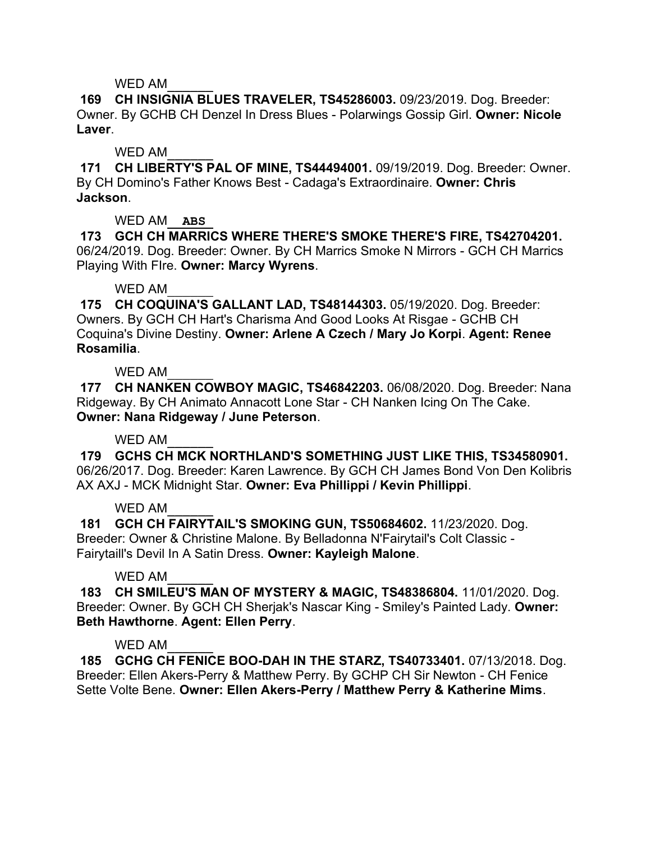**169 CH INSIGNIA BLUES TRAVELER, TS45286003.** 09/23/2019. Dog. Breeder: Owner. By GCHB CH Denzel In Dress Blues - Polarwings Gossip Girl. **Owner: Nicole Laver**.

WED AM

**171 CH LIBERTY'S PAL OF MINE, TS44494001.** 09/19/2019. Dog. Breeder: Owner. By CH Domino's Father Knows Best - Cadaga's Extraordinaire. **Owner: Chris Jackson**.

WED AM\_\_**ABS**\_

**173 GCH CH MARRICS WHERE THERE'S SMOKE THERE'S FIRE, TS42704201.**  06/24/2019. Dog. Breeder: Owner. By CH Marrics Smoke N Mirrors - GCH CH Marrics Playing With FIre. **Owner: Marcy Wyrens**.

# WED AM

**175 CH COQUINA'S GALLANT LAD, TS48144303.** 05/19/2020. Dog. Breeder: Owners. By GCH CH Hart's Charisma And Good Looks At Risgae - GCHB CH Coquina's Divine Destiny. **Owner: Arlene A Czech / Mary Jo Korpi**. **Agent: Renee Rosamilia**.

WFD AM

**177 CH NANKEN COWBOY MAGIC, TS46842203.** 06/08/2020. Dog. Breeder: Nana Ridgeway. By CH Animato Annacott Lone Star - CH Nanken Icing On The Cake. **Owner: Nana Ridgeway / June Peterson**.

# WED AM

**179 GCHS CH MCK NORTHLAND'S SOMETHING JUST LIKE THIS, TS34580901.**  06/26/2017. Dog. Breeder: Karen Lawrence. By GCH CH James Bond Von Den Kolibris AX AXJ - MCK Midnight Star. **Owner: Eva Phillippi / Kevin Phillippi**.

## WED AM

**181 GCH CH FAIRYTAIL'S SMOKING GUN, TS50684602.** 11/23/2020. Dog. Breeder: Owner & Christine Malone. By Belladonna N'Fairytail's Colt Classic - Fairytaill's Devil In A Satin Dress. **Owner: Kayleigh Malone**.

# WED AM

**183 CH SMILEU'S MAN OF MYSTERY & MAGIC, TS48386804.** 11/01/2020. Dog. Breeder: Owner. By GCH CH Sherjak's Nascar King - Smiley's Painted Lady. **Owner: Beth Hawthorne**. **Agent: Ellen Perry**.

# WFD AM

**185 GCHG CH FENICE BOO-DAH IN THE STARZ, TS40733401.** 07/13/2018. Dog. Breeder: Ellen Akers-Perry & Matthew Perry. By GCHP CH Sir Newton - CH Fenice Sette Volte Bene. **Owner: Ellen Akers-Perry / Matthew Perry & Katherine Mims**.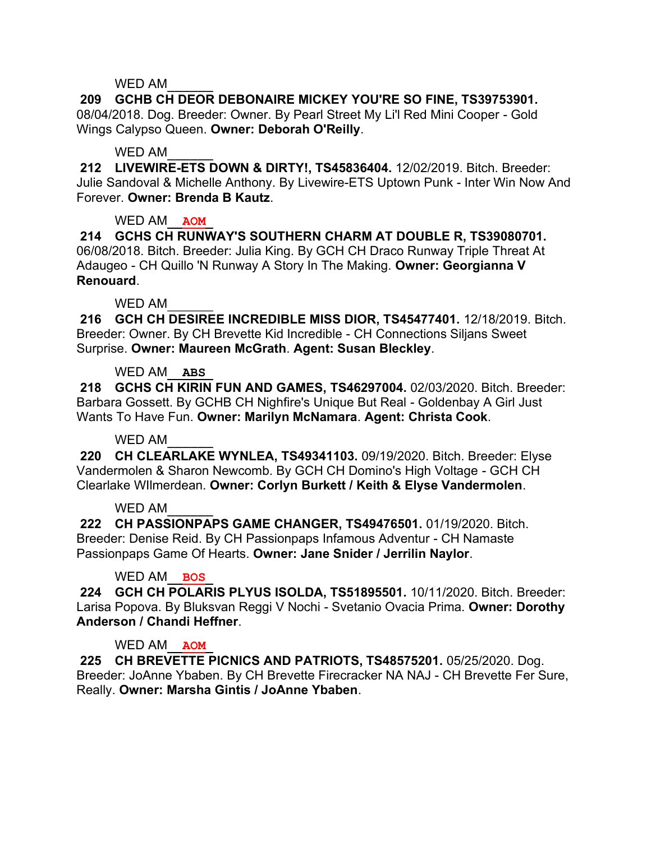**209 GCHB CH DEOR DEBONAIRE MICKEY YOU'RE SO FINE, TS39753901.**  08/04/2018. Dog. Breeder: Owner. By Pearl Street My Li'l Red Mini Cooper - Gold Wings Calypso Queen. **Owner: Deborah O'Reilly**.

### WED AM

**212 LIVEWIRE-ETS DOWN & DIRTY!, TS45836404.** 12/02/2019. Bitch. Breeder: Julie Sandoval & Michelle Anthony. By Livewire-ETS Uptown Punk - Inter Win Now And Forever. **Owner: Brenda B Kautz**.

## WED AM\_\_**AOM**\_

**214 GCHS CH RUNWAY'S SOUTHERN CHARM AT DOUBLE R, TS39080701.**  06/08/2018. Bitch. Breeder: Julia King. By GCH CH Draco Runway Triple Threat At Adaugeo - CH Quillo 'N Runway A Story In The Making. **Owner: Georgianna V Renouard**.

## WED AM

**216 GCH CH DESIREE INCREDIBLE MISS DIOR, TS45477401.** 12/18/2019. Bitch. Breeder: Owner. By CH Brevette Kid Incredible - CH Connections Siljans Sweet Surprise. **Owner: Maureen McGrath**. **Agent: Susan Bleckley**.

## WED AM\_\_**ABS**\_

**218 GCHS CH KIRIN FUN AND GAMES, TS46297004.** 02/03/2020. Bitch. Breeder: Barbara Gossett. By GCHB CH Nighfire's Unique But Real - Goldenbay A Girl Just Wants To Have Fun. **Owner: Marilyn McNamara**. **Agent: Christa Cook**.

## WED AM

**220 CH CLEARLAKE WYNLEA, TS49341103.** 09/19/2020. Bitch. Breeder: Elyse Vandermolen & Sharon Newcomb. By GCH CH Domino's High Voltage - GCH CH Clearlake WIlmerdean. **Owner: Corlyn Burkett / Keith & Elyse Vandermolen**.

## WED AM

**222 CH PASSIONPAPS GAME CHANGER, TS49476501.** 01/19/2020. Bitch. Breeder: Denise Reid. By CH Passionpaps Infamous Adventur - CH Namaste Passionpaps Game Of Hearts. **Owner: Jane Snider / Jerrilin Naylor**.

# WED AM\_\_**BOS**\_

**224 GCH CH POLARIS PLYUS ISOLDA, TS51895501.** 10/11/2020. Bitch. Breeder: Larisa Popova. By Bluksvan Reggi V Nochi - Svetanio Ovacia Prima. **Owner: Dorothy Anderson / Chandi Heffner**.

## WED AM\_\_**AOM**\_

**225 CH BREVETTE PICNICS AND PATRIOTS, TS48575201.** 05/25/2020. Dog. Breeder: JoAnne Ybaben. By CH Brevette Firecracker NA NAJ - CH Brevette Fer Sure, Really. **Owner: Marsha Gintis / JoAnne Ybaben**.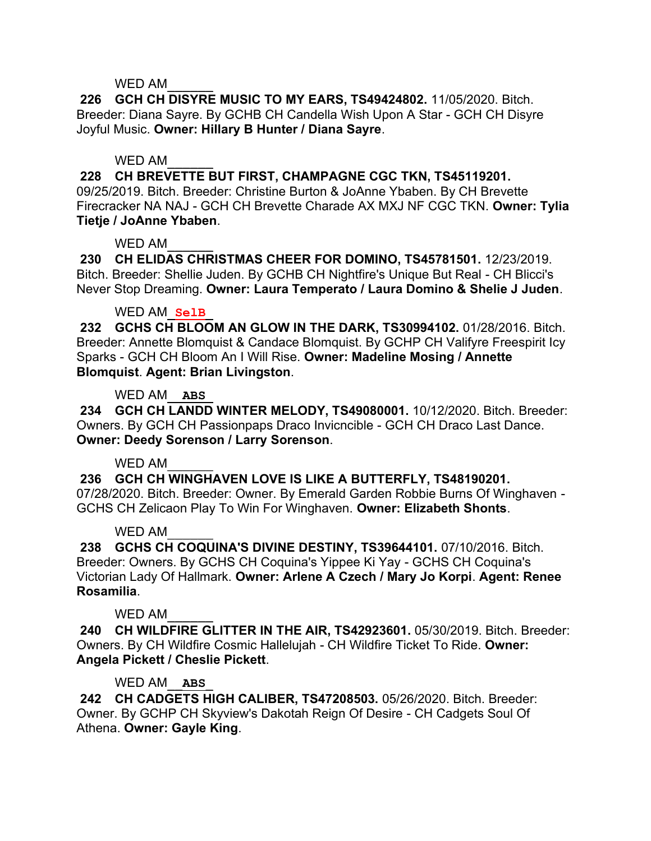**226 GCH CH DISYRE MUSIC TO MY EARS, TS49424802.** 11/05/2020. Bitch. Breeder: Diana Sayre. By GCHB CH Candella Wish Upon A Star - GCH CH Disyre Joyful Music. **Owner: Hillary B Hunter / Diana Sayre**.

### WED AM

**228 CH BREVETTE BUT FIRST, CHAMPAGNE CGC TKN, TS45119201.**  09/25/2019. Bitch. Breeder: Christine Burton & JoAnne Ybaben. By CH Brevette Firecracker NA NAJ - GCH CH Brevette Charade AX MXJ NF CGC TKN. **Owner: Tylia Tietje / JoAnne Ybaben**.

### WED AM

**230 CH ELIDAS CHRISTMAS CHEER FOR DOMINO, TS45781501.** 12/23/2019. Bitch. Breeder: Shellie Juden. By GCHB CH Nightfire's Unique But Real - CH Blicci's Never Stop Dreaming. **Owner: Laura Temperato / Laura Domino & Shelie J Juden**.

### WED AM\_**SelB**\_

**232 GCHS CH BLOOM AN GLOW IN THE DARK, TS30994102.** 01/28/2016. Bitch. Breeder: Annette Blomquist & Candace Blomquist. By GCHP CH Valifyre Freespirit Icy Sparks - GCH CH Bloom An I Will Rise. **Owner: Madeline Mosing / Annette Blomquist**. **Agent: Brian Livingston**.

### WED AM\_\_**ABS**\_

**234 GCH CH LANDD WINTER MELODY, TS49080001.** 10/12/2020. Bitch. Breeder: Owners. By GCH CH Passionpaps Draco Invicncible - GCH CH Draco Last Dance. **Owner: Deedy Sorenson / Larry Sorenson**.

## WFD AM

**236 GCH CH WINGHAVEN LOVE IS LIKE A BUTTERFLY, TS48190201.** 

07/28/2020. Bitch. Breeder: Owner. By Emerald Garden Robbie Burns Of Winghaven - GCHS CH Zelicaon Play To Win For Winghaven. **Owner: Elizabeth Shonts**.

#### WED AM

**238 GCHS CH COQUINA'S DIVINE DESTINY, TS39644101.** 07/10/2016. Bitch. Breeder: Owners. By GCHS CH Coquina's Yippee Ki Yay - GCHS CH Coquina's Victorian Lady Of Hallmark. **Owner: Arlene A Czech / Mary Jo Korpi**. **Agent: Renee Rosamilia**.

#### WED AM

**240 CH WILDFIRE GLITTER IN THE AIR, TS42923601.** 05/30/2019. Bitch. Breeder: Owners. By CH Wildfire Cosmic Hallelujah - CH Wildfire Ticket To Ride. **Owner: Angela Pickett / Cheslie Pickett**.

## WED AM\_\_**ABS**\_

**242 CH CADGETS HIGH CALIBER, TS47208503.** 05/26/2020. Bitch. Breeder: Owner. By GCHP CH Skyview's Dakotah Reign Of Desire - CH Cadgets Soul Of Athena. **Owner: Gayle King**.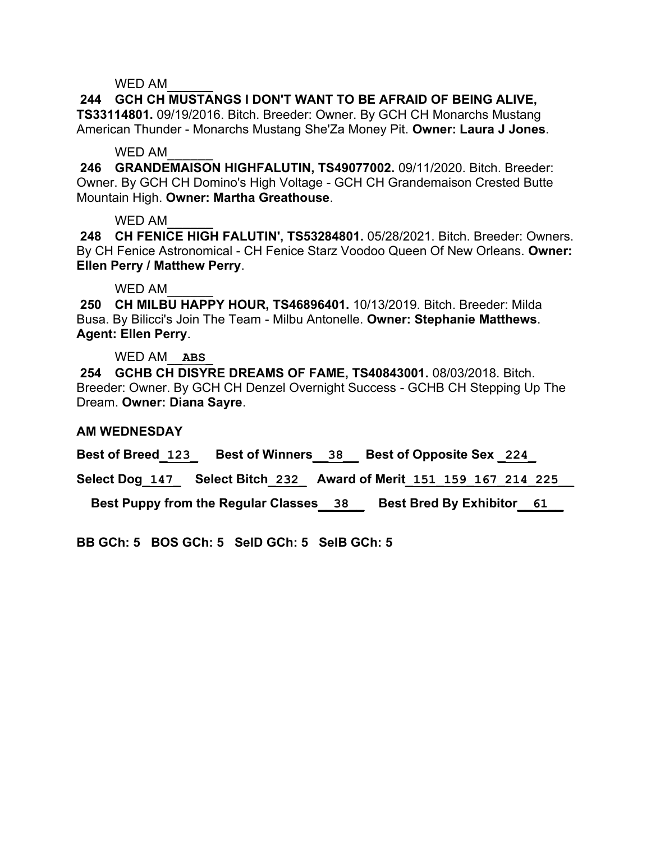# **244 GCH CH MUSTANGS I DON'T WANT TO BE AFRAID OF BEING ALIVE, TS33114801.** 09/19/2016. Bitch. Breeder: Owner. By GCH CH Monarchs Mustang

American Thunder - Monarchs Mustang She'Za Money Pit. **Owner: Laura J Jones**.

## WED AM

**246 GRANDEMAISON HIGHFALUTIN, TS49077002.** 09/11/2020. Bitch. Breeder: Owner. By GCH CH Domino's High Voltage - GCH CH Grandemaison Crested Butte Mountain High. **Owner: Martha Greathouse**.

## WED AM

**248 CH FENICE HIGH FALUTIN', TS53284801.** 05/28/2021. Bitch. Breeder: Owners. By CH Fenice Astronomical - CH Fenice Starz Voodoo Queen Of New Orleans. **Owner: Ellen Perry / Matthew Perry**.

# WED AM

**250 CH MILBU HAPPY HOUR, TS46896401.** 10/13/2019. Bitch. Breeder: Milda Busa. By Bilicci's Join The Team - Milbu Antonelle. **Owner: Stephanie Matthews**. **Agent: Ellen Perry**.

# WED AM\_\_**ABS**\_

**254 GCHB CH DISYRE DREAMS OF FAME, TS40843001.** 08/03/2018. Bitch. Breeder: Owner. By GCH CH Denzel Overnight Success - GCHB CH Stepping Up The Dream. **Owner: Diana Sayre**.

## **AM WEDNESDAY**

**Best of Breed\_123\_ Best of Winners\_\_38\_\_ Best of Opposite Sex \_224\_**

**Select Dog\_147\_ Select Bitch\_232\_ Award of Merit\_151\_159\_167\_214\_225\_\_**

 **Best Puppy from the Regular Classes\_\_38\_\_ Best Bred By Exhibitor\_\_61\_\_**

**BB GCh: 5 BOS GCh: 5 SelD GCh: 5 SelB GCh: 5**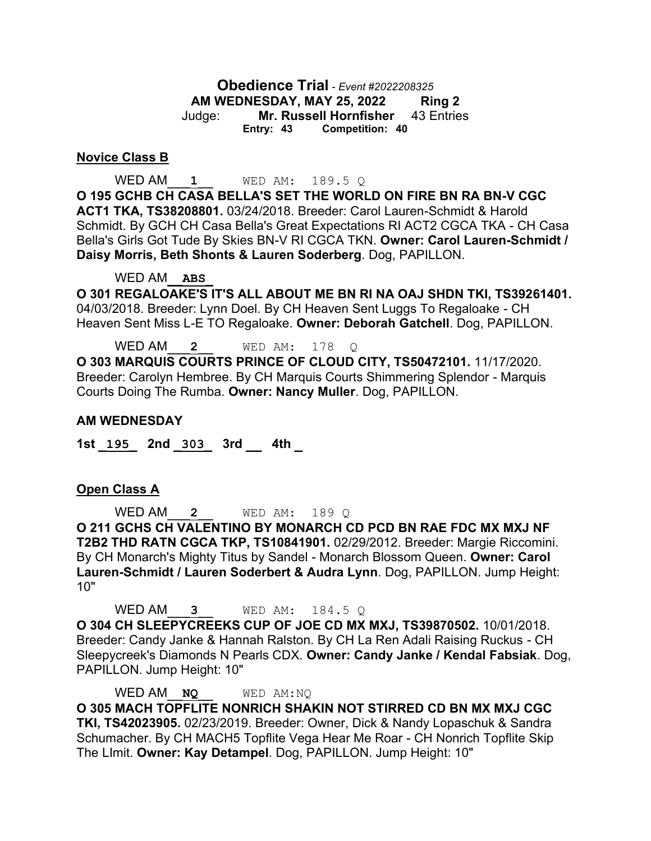### **Obedience Trial** *- Event #2022208325* **AM WEDNESDAY, MAY 25, 2022 Ring 2** Judge: **Mr. Russell Hornfisher** 43 Entries **Entry: 43 Competition: 40**

#### **Novice Class B**

WED AM\_\_\_**1**\_\_ WED AM: 189.5 Q **O 195 GCHB CH CASA BELLA'S SET THE WORLD ON FIRE BN RA BN-V CGC ACT1 TKA, TS38208801.** 03/24/2018. Breeder: Carol Lauren-Schmidt & Harold Schmidt. By GCH CH Casa Bella's Great Expectations RI ACT2 CGCA TKA - CH Casa Bella's Girls Got Tude By Skies BN-V RI CGCA TKN. **Owner: Carol Lauren-Schmidt / Daisy Morris, Beth Shonts & Lauren Soderberg**. Dog, PAPILLON.

WED AM\_\_**ABS**\_

**O 301 REGALOAKE'S IT'S ALL ABOUT ME BN RI NA OAJ SHDN TKI, TS39261401.**  04/03/2018. Breeder: Lynn Doel. By CH Heaven Sent Luggs To Regaloake - CH Heaven Sent Miss L-E TO Regaloake. **Owner: Deborah Gatchell**. Dog, PAPILLON.

WED AM\_\_\_**2**\_\_ WED AM: 178 Q **O 303 MARQUIS COURTS PRINCE OF CLOUD CITY, TS50472101.** 11/17/2020. Breeder: Carolyn Hembree. By CH Marquis Courts Shimmering Splendor - Marquis Courts Doing The Rumba. **Owner: Nancy Muller**. Dog, PAPILLON.

#### **AM WEDNESDAY**

**1st \_195\_ 2nd \_303\_ 3rd \_\_ 4th \_**

#### **Open Class A**

WED AM\_\_\_**2**\_\_ WED AM: 189 Q **O 211 GCHS CH VALENTINO BY MONARCH CD PCD BN RAE FDC MX MXJ NF T2B2 THD RATN CGCA TKP, TS10841901.** 02/29/2012. Breeder: Margie Riccomini. By CH Monarch's Mighty Titus by Sandel - Monarch Blossom Queen. **Owner: Carol Lauren-Schmidt / Lauren Soderbert & Audra Lynn**. Dog, PAPILLON. Jump Height: 10"

WED AM\_\_\_**3**\_\_ WED AM: 184.5 Q **O 304 CH SLEEPYCREEKS CUP OF JOE CD MX MXJ, TS39870502.** 10/01/2018. Breeder: Candy Janke & Hannah Ralston. By CH La Ren Adali Raising Ruckus - CH Sleepycreek's Diamonds N Pearls CDX. **Owner: Candy Janke / Kendal Fabsiak**. Dog, PAPILLON. Jump Height: 10"

WED AM\_\_**NQ**\_\_ WED AM:NQ **O 305 MACH TOPFLITE NONRICH SHAKIN NOT STIRRED CD BN MX MXJ CGC TKI, TS42023905.** 02/23/2019. Breeder: Owner, Dick & Nandy Lopaschuk & Sandra Schumacher. By CH MACH5 Topflite Vega Hear Me Roar - CH Nonrich Topflite Skip The LImit. **Owner: Kay Detampel**. Dog, PAPILLON. Jump Height: 10"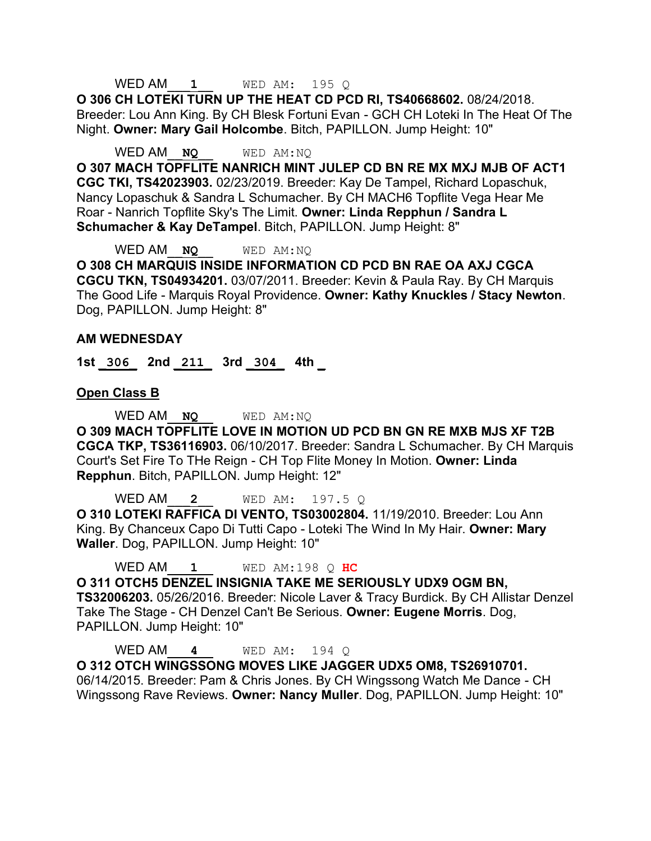### WED AM\_\_\_**1**\_\_ WED AM: 195 Q

**O 306 CH LOTEKI TURN UP THE HEAT CD PCD RI, TS40668602.** 08/24/2018. Breeder: Lou Ann King. By CH Blesk Fortuni Evan - GCH CH Loteki In The Heat Of The Night. **Owner: Mary Gail Holcombe**. Bitch, PAPILLON. Jump Height: 10"

WED AM\_\_**NQ**\_\_ WED AM:NQ

**O 307 MACH TOPFLITE NANRICH MINT JULEP CD BN RE MX MXJ MJB OF ACT1 CGC TKI, TS42023903.** 02/23/2019. Breeder: Kay De Tampel, Richard Lopaschuk, Nancy Lopaschuk & Sandra L Schumacher. By CH MACH6 Topflite Vega Hear Me Roar - Nanrich Topflite Sky's The Limit. **Owner: Linda Repphun / Sandra L Schumacher & Kay DeTampel**. Bitch, PAPILLON. Jump Height: 8"

WED AM\_\_**NQ**\_\_ WED AM:NQ

**O 308 CH MARQUIS INSIDE INFORMATION CD PCD BN RAE OA AXJ CGCA CGCU TKN, TS04934201.** 03/07/2011. Breeder: Kevin & Paula Ray. By CH Marquis The Good Life - Marquis Royal Providence. **Owner: Kathy Knuckles / Stacy Newton**. Dog, PAPILLON. Jump Height: 8"

#### **AM WEDNESDAY**

**1st \_306\_ 2nd \_211\_ 3rd \_304\_ 4th \_**

**Open Class B**

WED AM\_\_**NQ**\_\_ WED AM:NQ **O 309 MACH TOPFLITE LOVE IN MOTION UD PCD BN GN RE MXB MJS XF T2B CGCA TKP, TS36116903.** 06/10/2017. Breeder: Sandra L Schumacher. By CH Marquis Court's Set Fire To THe Reign - CH Top Flite Money In Motion. **Owner: Linda Repphun**. Bitch, PAPILLON. Jump Height: 12"

WED AM\_\_\_**2**\_\_ WED AM: 197.5 Q **O 310 LOTEKI RAFFICA DI VENTO, TS03002804.** 11/19/2010. Breeder: Lou Ann King. By Chanceux Capo Di Tutti Capo - Loteki The Wind In My Hair. **Owner: Mary Waller**. Dog, PAPILLON. Jump Height: 10"

WED AM\_\_\_**1**\_\_ WED AM:198 Q **HC**

**O 311 OTCH5 DENZEL INSIGNIA TAKE ME SERIOUSLY UDX9 OGM BN, TS32006203.** 05/26/2016. Breeder: Nicole Laver & Tracy Burdick. By CH Allistar Denzel Take The Stage - CH Denzel Can't Be Serious. **Owner: Eugene Morris**. Dog, PAPILLON. Jump Height: 10"

WED AM\_\_\_**4**\_\_ WED AM: 194 Q **O 312 OTCH WINGSSONG MOVES LIKE JAGGER UDX5 OM8, TS26910701.**  06/14/2015. Breeder: Pam & Chris Jones. By CH Wingssong Watch Me Dance - CH Wingssong Rave Reviews. **Owner: Nancy Muller**. Dog, PAPILLON. Jump Height: 10"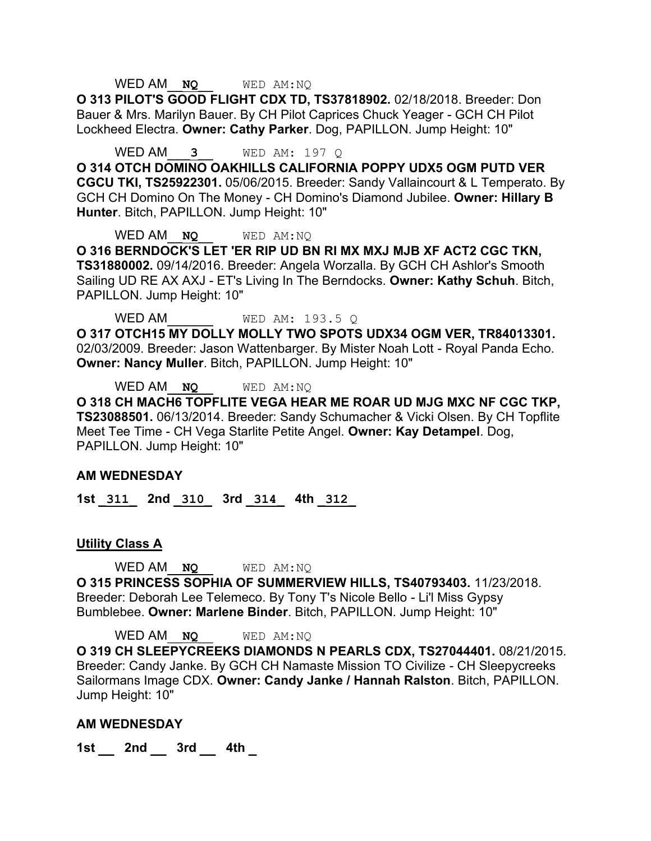#### WED AM\_\_**NQ**\_\_ WED AM:NQ

**O 313 PILOT'S GOOD FLIGHT CDX TD, TS37818902.** 02/18/2018. Breeder: Don Bauer & Mrs. Marilyn Bauer. By CH Pilot Caprices Chuck Yeager - GCH CH Pilot Lockheed Electra. **Owner: Cathy Parker**. Dog, PAPILLON. Jump Height: 10"

WED AM\_\_\_**3**\_\_ WED AM: 197 Q

**O 314 OTCH DOMINO OAKHILLS CALIFORNIA POPPY UDX5 OGM PUTD VER CGCU TKI, TS25922301.** 05/06/2015. Breeder: Sandy Vallaincourt & L Temperato. By GCH CH Domino On The Money - CH Domino's Diamond Jubilee. **Owner: Hillary B Hunter**. Bitch, PAPILLON. Jump Height: 10"

WED AM **NO** WED AM:NO **O 316 BERNDOCK'S LET 'ER RIP UD BN RI MX MXJ MJB XF ACT2 CGC TKN, TS31880002.** 09/14/2016. Breeder: Angela Worzalla. By GCH CH Ashlor's Smooth Sailing UD RE AX AXJ - ET's Living In The Berndocks. **Owner: Kathy Schuh**. Bitch, PAPILLON. Jump Height: 10"

WED AM WED AM: 193.5 Q **O 317 OTCH15 MY DOLLY MOLLY TWO SPOTS UDX34 OGM VER, TR84013301.**  02/03/2009. Breeder: Jason Wattenbarger. By Mister Noah Lott - Royal Panda Echo. **Owner: Nancy Muller**. Bitch, PAPILLON. Jump Height: 10"

WED AM\_\_**NQ**\_\_ WED AM:NQ

**O 318 CH MACH6 TOPFLITE VEGA HEAR ME ROAR UD MJG MXC NF CGC TKP, TS23088501.** 06/13/2014. Breeder: Sandy Schumacher & Vicki Olsen. By CH Topflite Meet Tee Time - CH Vega Starlite Petite Angel. **Owner: Kay Detampel**. Dog, PAPILLON. Jump Height: 10"

#### **AM WEDNESDAY**

**1st \_311\_ 2nd \_310\_ 3rd \_314\_ 4th \_312\_** 

#### **Utility Class A**

WED AM\_\_**NQ**\_\_ WED AM:NQ

**O 315 PRINCESS SOPHIA OF SUMMERVIEW HILLS, TS40793403.** 11/23/2018. Breeder: Deborah Lee Telemeco. By Tony T's Nicole Bello - Li'l Miss Gypsy Bumblebee. **Owner: Marlene Binder**. Bitch, PAPILLON. Jump Height: 10"

WED AM\_\_**NQ**\_\_ WED AM:NQ **O 319 CH SLEEPYCREEKS DIAMONDS N PEARLS CDX, TS27044401.** 08/21/2015. Breeder: Candy Janke. By GCH CH Namaste Mission TO Civilize - CH Sleepycreeks Sailormans Image CDX. **Owner: Candy Janke / Hannah Ralston**. Bitch, PAPILLON. Jump Height: 10"

#### **AM WEDNESDAY**

**1st \_\_ 2nd \_\_ 3rd \_\_ 4th \_**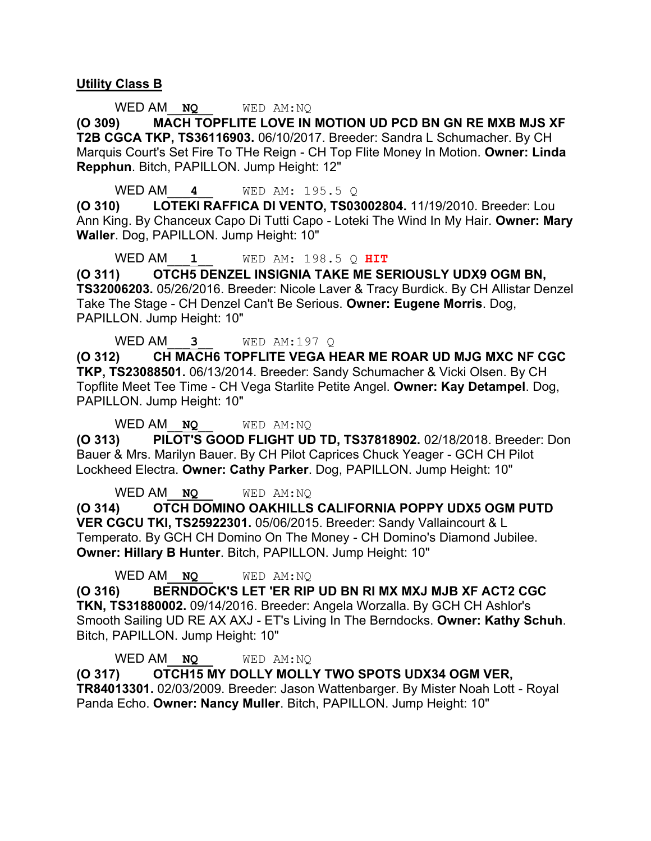#### **Utility Class B**

WED AM\_\_**NQ**\_\_ WED AM:NQ

**(O 309) MACH TOPFLITE LOVE IN MOTION UD PCD BN GN RE MXB MJS XF T2B CGCA TKP, TS36116903.** 06/10/2017. Breeder: Sandra L Schumacher. By CH Marquis Court's Set Fire To THe Reign - CH Top Flite Money In Motion. **Owner: Linda Repphun**. Bitch, PAPILLON. Jump Height: 12"

WED AM\_\_\_**4**\_\_ WED AM: 195.5 Q

**(O 310) LOTEKI RAFFICA DI VENTO, TS03002804.** 11/19/2010. Breeder: Lou Ann King. By Chanceux Capo Di Tutti Capo - Loteki The Wind In My Hair. **Owner: Mary Waller**. Dog, PAPILLON. Jump Height: 10"

WED AM\_\_\_**1**\_\_ WED AM: 198.5 Q **HIT**

**(O 311) OTCH5 DENZEL INSIGNIA TAKE ME SERIOUSLY UDX9 OGM BN, TS32006203.** 05/26/2016. Breeder: Nicole Laver & Tracy Burdick. By CH Allistar Denzel Take The Stage - CH Denzel Can't Be Serious. **Owner: Eugene Morris**. Dog, PAPILLON. Jump Height: 10"

WED AM\_\_\_**3**\_\_ WED AM:197 Q

**(O 312) CH MACH6 TOPFLITE VEGA HEAR ME ROAR UD MJG MXC NF CGC TKP, TS23088501.** 06/13/2014. Breeder: Sandy Schumacher & Vicki Olsen. By CH Topflite Meet Tee Time - CH Vega Starlite Petite Angel. **Owner: Kay Detampel**. Dog, PAPILLON. Jump Height: 10"

WED AM **NO** WED AM:NO

**(O 313) PILOT'S GOOD FLIGHT UD TD, TS37818902.** 02/18/2018. Breeder: Don Bauer & Mrs. Marilyn Bauer. By CH Pilot Caprices Chuck Yeager - GCH CH Pilot Lockheed Electra. **Owner: Cathy Parker**. Dog, PAPILLON. Jump Height: 10"

WED AM **NO** WED AM:NO **(O 314) OTCH DOMINO OAKHILLS CALIFORNIA POPPY UDX5 OGM PUTD VER CGCU TKI, TS25922301.** 05/06/2015. Breeder: Sandy Vallaincourt & L Temperato. By GCH CH Domino On The Money - CH Domino's Diamond Jubilee. **Owner: Hillary B Hunter**. Bitch, PAPILLON. Jump Height: 10"

WED AM\_\_**NQ**\_\_ WED AM:NQ

**(O 316) BERNDOCK'S LET 'ER RIP UD BN RI MX MXJ MJB XF ACT2 CGC TKN, TS31880002.** 09/14/2016. Breeder: Angela Worzalla. By GCH CH Ashlor's Smooth Sailing UD RE AX AXJ - ET's Living In The Berndocks. **Owner: Kathy Schuh**. Bitch, PAPILLON. Jump Height: 10"

WED AM\_\_**NQ**\_\_ WED AM:NQ **(O 317) OTCH15 MY DOLLY MOLLY TWO SPOTS UDX34 OGM VER, TR84013301.** 02/03/2009. Breeder: Jason Wattenbarger. By Mister Noah Lott - Royal Panda Echo. **Owner: Nancy Muller**. Bitch, PAPILLON. Jump Height: 10"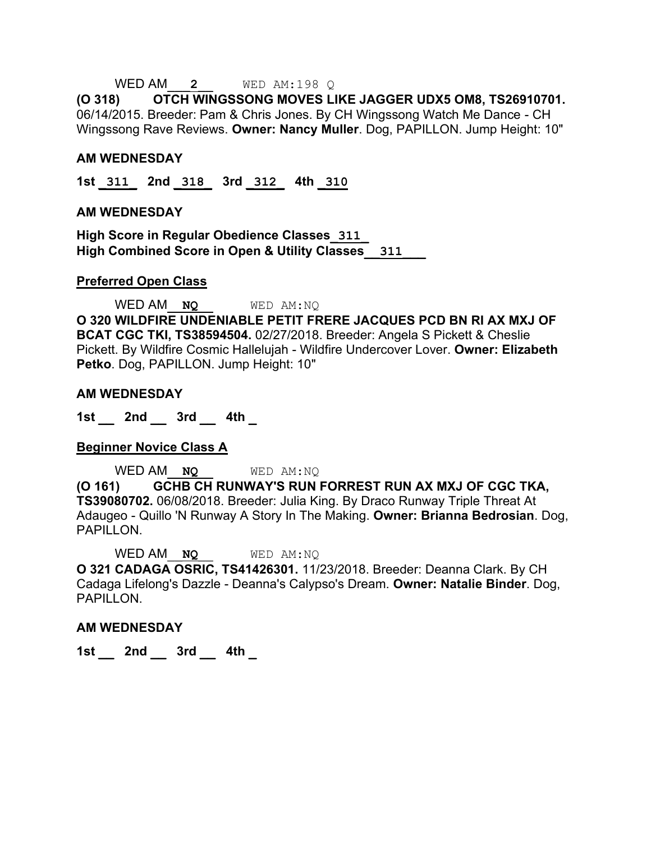#### WED AM\_\_\_**2**\_\_ WED AM:198 Q

**(O 318) OTCH WINGSSONG MOVES LIKE JAGGER UDX5 OM8, TS26910701.**  06/14/2015. Breeder: Pam & Chris Jones. By CH Wingssong Watch Me Dance - CH Wingssong Rave Reviews. **Owner: Nancy Muller**. Dog, PAPILLON. Jump Height: 10"

#### **AM WEDNESDAY**

**1st \_311\_ 2nd \_318\_ 3rd \_312\_ 4th \_310**

#### **AM WEDNESDAY**

**High Score in Regular Obedience Classes\_311\_ High Combined Score in Open & Utility Classes\_\_311\_\_\_**

#### **Preferred Open Class**

WED AM **NO** WED AM:NO **O 320 WILDFIRE UNDENIABLE PETIT FRERE JACQUES PCD BN RI AX MXJ OF BCAT CGC TKI, TS38594504.** 02/27/2018. Breeder: Angela S Pickett & Cheslie Pickett. By Wildfire Cosmic Hallelujah - Wildfire Undercover Lover. **Owner: Elizabeth Petko**. Dog, PAPILLON. Jump Height: 10"

#### **AM WEDNESDAY**

**1st \_\_ 2nd \_\_ 3rd \_\_ 4th \_**

#### **Beginner Novice Class A**

WED AM\_\_**NQ**\_\_ WED AM:NQ

**(O 161) GCHB CH RUNWAY'S RUN FORREST RUN AX MXJ OF CGC TKA, TS39080702.** 06/08/2018. Breeder: Julia King. By Draco Runway Triple Threat At Adaugeo - Quillo 'N Runway A Story In The Making. **Owner: Brianna Bedrosian**. Dog, PAPILLON.

WED AM\_\_**NQ**\_\_ WED AM:NQ **O 321 CADAGA OSRIC, TS41426301.** 11/23/2018. Breeder: Deanna Clark. By CH Cadaga Lifelong's Dazzle - Deanna's Calypso's Dream. **Owner: Natalie Binder**. Dog, PAPILLON.

#### **AM WEDNESDAY**

**1st \_\_ 2nd \_\_ 3rd \_\_ 4th \_**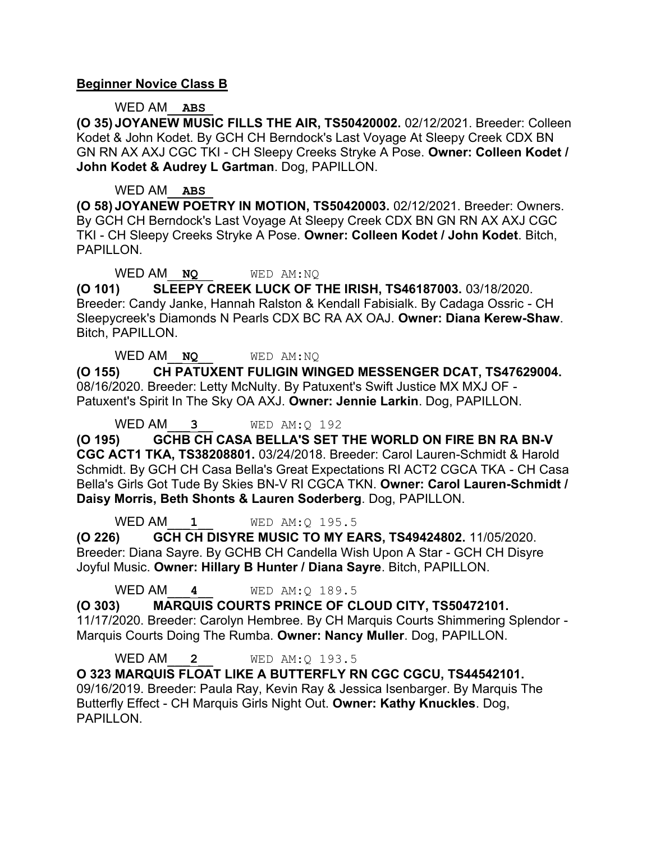### **Beginner Novice Class B**

WED AM\_\_**ABS**\_

**(O 35) JOYANEW MUSIC FILLS THE AIR, TS50420002.** 02/12/2021. Breeder: Colleen Kodet & John Kodet. By GCH CH Berndock's Last Voyage At Sleepy Creek CDX BN GN RN AX AXJ CGC TKI - CH Sleepy Creeks Stryke A Pose. **Owner: Colleen Kodet / John Kodet & Audrey L Gartman**. Dog, PAPILLON.

#### WED AM\_\_**ABS**\_

**(O 58) JOYANEW POETRY IN MOTION, TS50420003.** 02/12/2021. Breeder: Owners. By GCH CH Berndock's Last Voyage At Sleepy Creek CDX BN GN RN AX AXJ CGC TKI - CH Sleepy Creeks Stryke A Pose. **Owner: Colleen Kodet / John Kodet**. Bitch, PAPILLON.

WED AM\_\_**NQ**\_\_ WED AM:NQ

**(O 101) SLEEPY CREEK LUCK OF THE IRISH, TS46187003.** 03/18/2020. Breeder: Candy Janke, Hannah Ralston & Kendall Fabisialk. By Cadaga Ossric - CH Sleepycreek's Diamonds N Pearls CDX BC RA AX OAJ. **Owner: Diana Kerew-Shaw**. Bitch, PAPILLON.

WED AM\_\_**NQ**\_\_ WED AM:NQ

**(O 155) CH PATUXENT FULIGIN WINGED MESSENGER DCAT, TS47629004.**  08/16/2020. Breeder: Letty McNulty. By Patuxent's Swift Justice MX MXJ OF - Patuxent's Spirit In The Sky OA AXJ. **Owner: Jennie Larkin**. Dog, PAPILLON.

WED AM\_\_\_**3**\_\_ WED AM:Q 192

**(O 195) GCHB CH CASA BELLA'S SET THE WORLD ON FIRE BN RA BN-V CGC ACT1 TKA, TS38208801.** 03/24/2018. Breeder: Carol Lauren-Schmidt & Harold Schmidt. By GCH CH Casa Bella's Great Expectations RI ACT2 CGCA TKA - CH Casa Bella's Girls Got Tude By Skies BN-V RI CGCA TKN. **Owner: Carol Lauren-Schmidt / Daisy Morris, Beth Shonts & Lauren Soderberg**. Dog, PAPILLON.

WED AM<sub>1</sub><sup>1</sup> WED AM: 0 195.5

**(O 226) GCH CH DISYRE MUSIC TO MY EARS, TS49424802.** 11/05/2020. Breeder: Diana Sayre. By GCHB CH Candella Wish Upon A Star - GCH CH Disyre Joyful Music. **Owner: Hillary B Hunter / Diana Sayre**. Bitch, PAPILLON.

WED AM\_\_\_**4**\_\_ WED AM:Q 189.5

**(O 303) MARQUIS COURTS PRINCE OF CLOUD CITY, TS50472101.**  11/17/2020. Breeder: Carolyn Hembree. By CH Marquis Courts Shimmering Splendor - Marquis Courts Doing The Rumba. **Owner: Nancy Muller**. Dog, PAPILLON.

WED AM\_\_\_**2**\_\_ WED AM:Q 193.5

**O 323 MARQUIS FLOAT LIKE A BUTTERFLY RN CGC CGCU, TS44542101.**  09/16/2019. Breeder: Paula Ray, Kevin Ray & Jessica Isenbarger. By Marquis The Butterfly Effect - CH Marquis Girls Night Out. **Owner: Kathy Knuckles**. Dog, PAPILLON.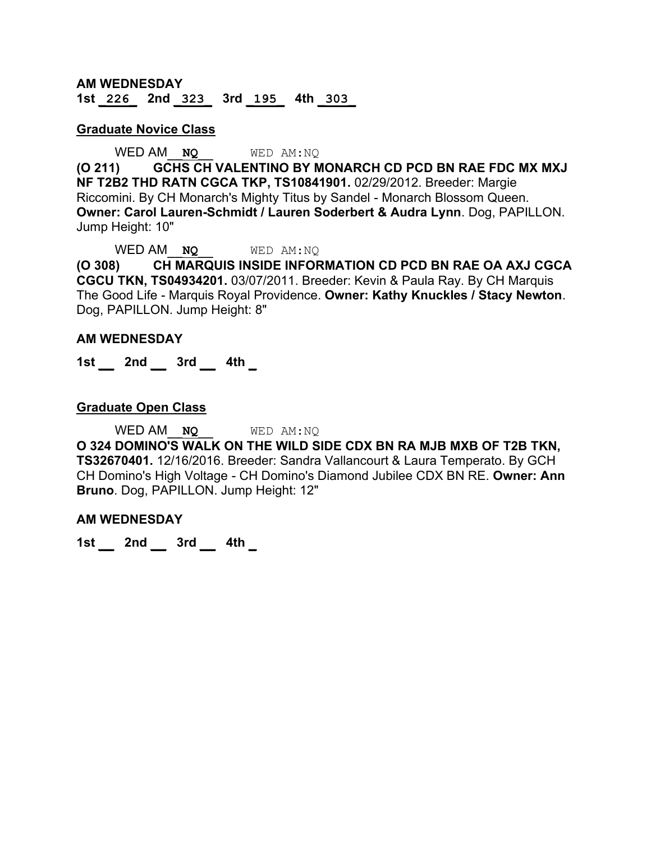#### **AM WEDNESDAY 1st \_226\_ 2nd \_323\_ 3rd \_195\_ 4th \_303\_**

#### **Graduate Novice Class**

#### WED AM\_\_**NQ**\_\_ WED AM:NQ

**(O 211) GCHS CH VALENTINO BY MONARCH CD PCD BN RAE FDC MX MXJ NF T2B2 THD RATN CGCA TKP, TS10841901.** 02/29/2012. Breeder: Margie Riccomini. By CH Monarch's Mighty Titus by Sandel - Monarch Blossom Queen. **Owner: Carol Lauren-Schmidt / Lauren Soderbert & Audra Lynn**. Dog, PAPILLON. Jump Height: 10"

WED AM **NO** WED AM:NO

**(O 308) CH MARQUIS INSIDE INFORMATION CD PCD BN RAE OA AXJ CGCA CGCU TKN, TS04934201.** 03/07/2011. Breeder: Kevin & Paula Ray. By CH Marquis The Good Life - Marquis Royal Providence. **Owner: Kathy Knuckles / Stacy Newton**. Dog, PAPILLON. Jump Height: 8"

#### **AM WEDNESDAY**

**1st \_\_ 2nd \_\_ 3rd \_\_ 4th \_**

#### **Graduate Open Class**

WED AM\_\_**NQ**\_\_ WED AM:NQ

**O 324 DOMINO'S WALK ON THE WILD SIDE CDX BN RA MJB MXB OF T2B TKN, TS32670401.** 12/16/2016. Breeder: Sandra Vallancourt & Laura Temperato. By GCH CH Domino's High Voltage - CH Domino's Diamond Jubilee CDX BN RE. **Owner: Ann Bruno**. Dog, PAPILLON. Jump Height: 12"

#### **AM WEDNESDAY**

**1st \_\_ 2nd \_\_ 3rd \_\_ 4th \_**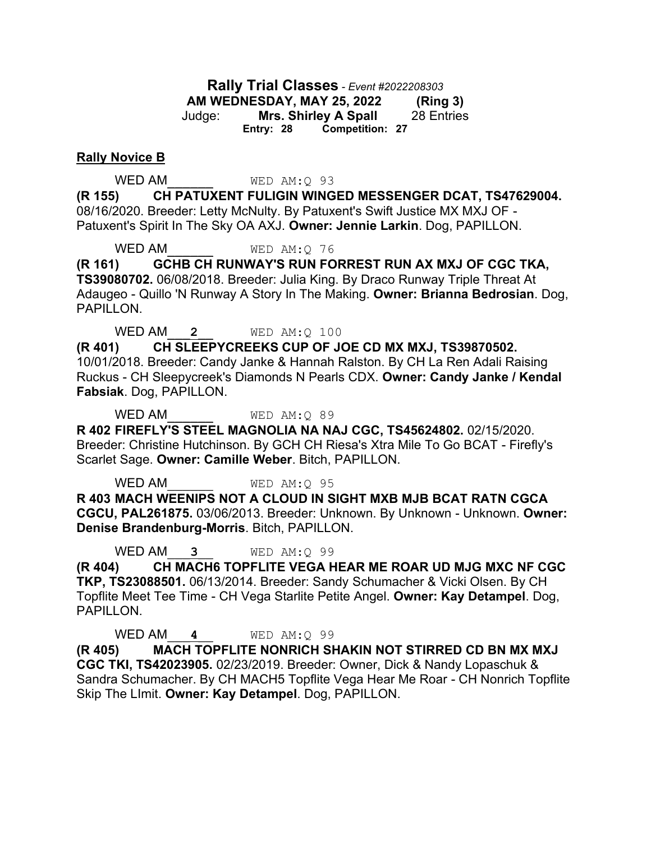**Rally Trial Classes** *- Event #2022208303* **AM WEDNESDAY, MAY 25, 2022 (Ring 3)** Judge: **Mrs. Shirley A Spall** 28 Entries **Entry: 28 Competition: 27**

#### **Rally Novice B**

WED AM WED AM: Q 93

**(R 155) CH PATUXENT FULIGIN WINGED MESSENGER DCAT, TS47629004.**  08/16/2020. Breeder: Letty McNulty. By Patuxent's Swift Justice MX MXJ OF - Patuxent's Spirit In The Sky OA AXJ. **Owner: Jennie Larkin**. Dog, PAPILLON.

WED AM WED AM: Q 76

**(R 161) GCHB CH RUNWAY'S RUN FORREST RUN AX MXJ OF CGC TKA, TS39080702.** 06/08/2018. Breeder: Julia King. By Draco Runway Triple Threat At Adaugeo - Quillo 'N Runway A Story In The Making. **Owner: Brianna Bedrosian**. Dog, PAPILLON.

WED AM\_\_\_**2**\_\_ WED AM:Q 100

**(R 401) CH SLEEPYCREEKS CUP OF JOE CD MX MXJ, TS39870502.**  10/01/2018. Breeder: Candy Janke & Hannah Ralston. By CH La Ren Adali Raising Ruckus - CH Sleepycreek's Diamonds N Pearls CDX. **Owner: Candy Janke / Kendal Fabsiak**. Dog, PAPILLON.

WED AM WED AM: Q 89

**R 402 FIREFLY'S STEEL MAGNOLIA NA NAJ CGC, TS45624802.** 02/15/2020. Breeder: Christine Hutchinson. By GCH CH Riesa's Xtra Mile To Go BCAT - Firefly's Scarlet Sage. **Owner: Camille Weber**. Bitch, PAPILLON.

WED AM WED AM: Q 95

**R 403 MACH WEENIPS NOT A CLOUD IN SIGHT MXB MJB BCAT RATN CGCA CGCU, PAL261875.** 03/06/2013. Breeder: Unknown. By Unknown - Unknown. **Owner: Denise Brandenburg-Morris**. Bitch, PAPILLON.

WED AM\_\_\_**3**\_\_ WED AM:Q 99

**(R 404) CH MACH6 TOPFLITE VEGA HEAR ME ROAR UD MJG MXC NF CGC TKP, TS23088501.** 06/13/2014. Breeder: Sandy Schumacher & Vicki Olsen. By CH Topflite Meet Tee Time - CH Vega Starlite Petite Angel. **Owner: Kay Detampel**. Dog, PAPILLON.

WED AM\_\_\_**4**\_\_ WED AM:Q 99

**(R 405) MACH TOPFLITE NONRICH SHAKIN NOT STIRRED CD BN MX MXJ CGC TKI, TS42023905.** 02/23/2019. Breeder: Owner, Dick & Nandy Lopaschuk & Sandra Schumacher. By CH MACH5 Topflite Vega Hear Me Roar - CH Nonrich Topflite Skip The LImit. **Owner: Kay Detampel**. Dog, PAPILLON.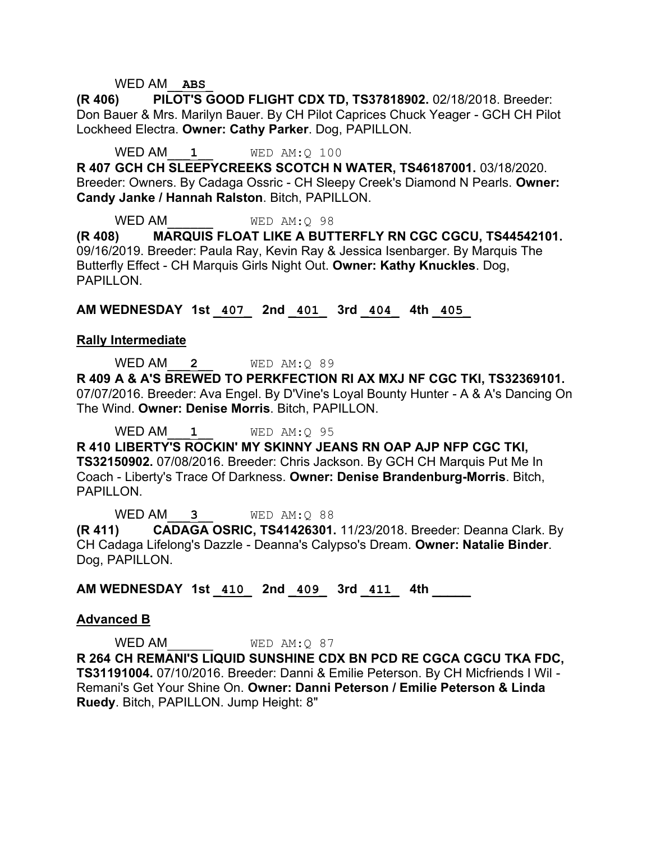#### WED AM\_\_**ABS**\_

**(R 406) PILOT'S GOOD FLIGHT CDX TD, TS37818902.** 02/18/2018. Breeder: Don Bauer & Mrs. Marilyn Bauer. By CH Pilot Caprices Chuck Yeager - GCH CH Pilot Lockheed Electra. **Owner: Cathy Parker**. Dog, PAPILLON.

WED AM<sub>1</sub> 1 WED AM: 0 100

**R 407 GCH CH SLEEPYCREEKS SCOTCH N WATER, TS46187001.** 03/18/2020. Breeder: Owners. By Cadaga Ossric - CH Sleepy Creek's Diamond N Pearls. **Owner: Candy Janke / Hannah Ralston**. Bitch, PAPILLON.

WED AM WED AM: 0 98 **(R 408) MARQUIS FLOAT LIKE A BUTTERFLY RN CGC CGCU, TS44542101.**  09/16/2019. Breeder: Paula Ray, Kevin Ray & Jessica Isenbarger. By Marquis The Butterfly Effect - CH Marquis Girls Night Out. **Owner: Kathy Knuckles**. Dog, PAPILLON.

**AM WEDNESDAY 1st \_407\_ 2nd \_401\_ 3rd \_404\_ 4th \_405\_** 

#### **Rally Intermediate**

WED AM\_\_\_**2**\_\_ WED AM:Q 89

**R 409 A & A'S BREWED TO PERKFECTION RI AX MXJ NF CGC TKI, TS32369101.**  07/07/2016. Breeder: Ava Engel. By D'Vine's Loyal Bounty Hunter - A & A's Dancing On The Wind. **Owner: Denise Morris**. Bitch, PAPILLON.

WED AM<sub>2</sub> **1** WED AM:0 95

**R 410 LIBERTY'S ROCKIN' MY SKINNY JEANS RN OAP AJP NFP CGC TKI, TS32150902.** 07/08/2016. Breeder: Chris Jackson. By GCH CH Marquis Put Me In Coach - Liberty's Trace Of Darkness. **Owner: Denise Brandenburg-Morris**. Bitch, PAPILLON.

WED AM\_\_\_**3**\_\_ WED AM:Q 88 **(R 411) CADAGA OSRIC, TS41426301.** 11/23/2018. Breeder: Deanna Clark. By CH Cadaga Lifelong's Dazzle - Deanna's Calypso's Dream. **Owner: Natalie Binder**. Dog, PAPILLON.

# **AM WEDNESDAY 1st \_410\_ 2nd \_409\_ 3rd \_411\_ 4th \_\_\_\_\_**

#### **Advanced B**

WED AM WED AM: Q 87

**R 264 CH REMANI'S LIQUID SUNSHINE CDX BN PCD RE CGCA CGCU TKA FDC, TS31191004.** 07/10/2016. Breeder: Danni & Emilie Peterson. By CH Micfriends I Wil - Remani's Get Your Shine On. **Owner: Danni Peterson / Emilie Peterson & Linda Ruedy**. Bitch, PAPILLON. Jump Height: 8"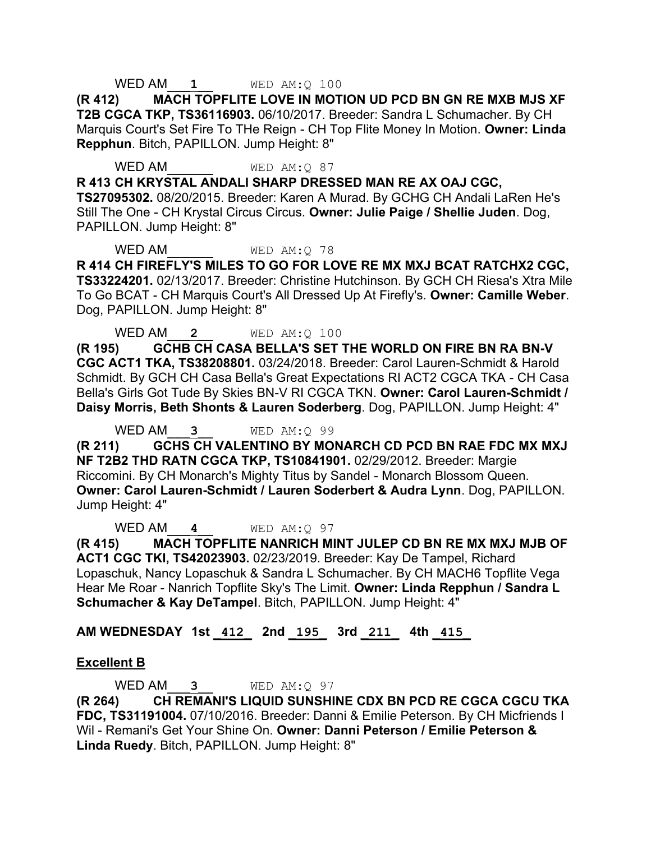#### WED AM<sub>2</sub> 1<br>WED AM: Q 100

**(R 412) MACH TOPFLITE LOVE IN MOTION UD PCD BN GN RE MXB MJS XF T2B CGCA TKP, TS36116903.** 06/10/2017. Breeder: Sandra L Schumacher. By CH Marquis Court's Set Fire To THe Reign - CH Top Flite Money In Motion. **Owner: Linda Repphun**. Bitch, PAPILLON. Jump Height: 8"

WED AM WED AM: Q 87

**R 413 CH KRYSTAL ANDALI SHARP DRESSED MAN RE AX OAJ CGC,** 

**TS27095302.** 08/20/2015. Breeder: Karen A Murad. By GCHG CH Andali LaRen He's Still The One - CH Krystal Circus Circus. **Owner: Julie Paige / Shellie Juden**. Dog, PAPILLON. Jump Height: 8"

WED AM WED AM: 0 78

**R 414 CH FIREFLY'S MILES TO GO FOR LOVE RE MX MXJ BCAT RATCHX2 CGC, TS33224201.** 02/13/2017. Breeder: Christine Hutchinson. By GCH CH Riesa's Xtra Mile To Go BCAT - CH Marquis Court's All Dressed Up At Firefly's. **Owner: Camille Weber**. Dog, PAPILLON. Jump Height: 8"

WED AM\_\_\_**2**\_\_ WED AM:Q 100

**(R 195) GCHB CH CASA BELLA'S SET THE WORLD ON FIRE BN RA BN-V CGC ACT1 TKA, TS38208801.** 03/24/2018. Breeder: Carol Lauren-Schmidt & Harold Schmidt. By GCH CH Casa Bella's Great Expectations RI ACT2 CGCA TKA - CH Casa Bella's Girls Got Tude By Skies BN-V RI CGCA TKN. **Owner: Carol Lauren-Schmidt / Daisy Morris, Beth Shonts & Lauren Soderberg**. Dog, PAPILLON. Jump Height: 4"

WED AM\_\_\_**3**\_\_ WED AM:Q 99

**(R 211) GCHS CH VALENTINO BY MONARCH CD PCD BN RAE FDC MX MXJ NF T2B2 THD RATN CGCA TKP, TS10841901.** 02/29/2012. Breeder: Margie Riccomini. By CH Monarch's Mighty Titus by Sandel - Monarch Blossom Queen. **Owner: Carol Lauren-Schmidt / Lauren Soderbert & Audra Lynn**. Dog, PAPILLON. Jump Height: 4"

WED AM\_\_\_**4**\_\_ WED AM:Q 97

**(R 415) MACH TOPFLITE NANRICH MINT JULEP CD BN RE MX MXJ MJB OF ACT1 CGC TKI, TS42023903.** 02/23/2019. Breeder: Kay De Tampel, Richard Lopaschuk, Nancy Lopaschuk & Sandra L Schumacher. By CH MACH6 Topflite Vega Hear Me Roar - Nanrich Topflite Sky's The Limit. **Owner: Linda Repphun / Sandra L Schumacher & Kay DeTampel**. Bitch, PAPILLON. Jump Height: 4"

## **AM WEDNESDAY 1st \_412\_ 2nd \_195\_ 3rd \_211\_ 4th \_415\_**

## **Excellent B**

WED AM  $\sim$  3 WED AM:Q 97

**(R 264) CH REMANI'S LIQUID SUNSHINE CDX BN PCD RE CGCA CGCU TKA FDC, TS31191004.** 07/10/2016. Breeder: Danni & Emilie Peterson. By CH Micfriends I Wil - Remani's Get Your Shine On. **Owner: Danni Peterson / Emilie Peterson & Linda Ruedy**. Bitch, PAPILLON. Jump Height: 8"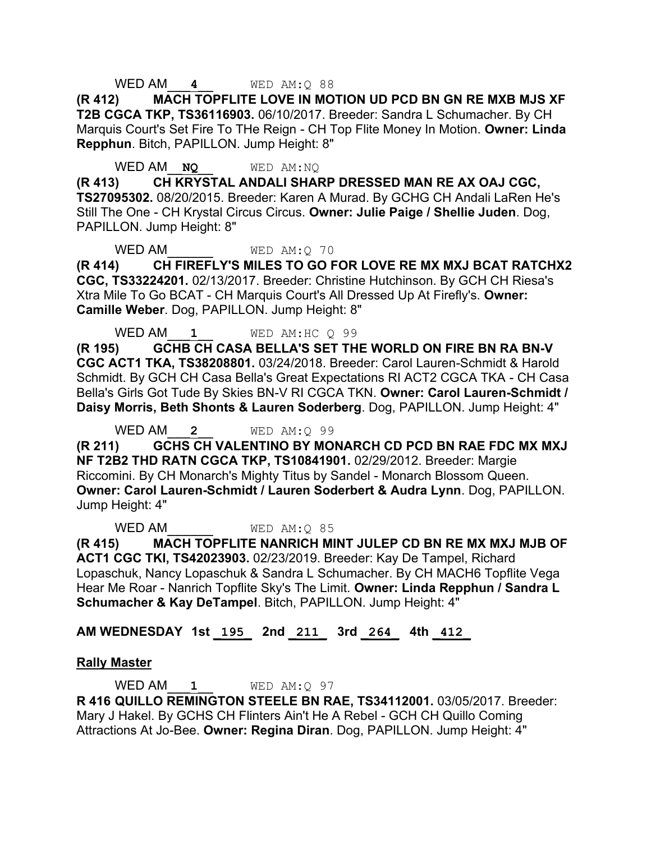### WED AM\_\_\_**4**\_\_ WED AM:Q 88

**(R 412) MACH TOPFLITE LOVE IN MOTION UD PCD BN GN RE MXB MJS XF T2B CGCA TKP, TS36116903.** 06/10/2017. Breeder: Sandra L Schumacher. By CH Marquis Court's Set Fire To THe Reign - CH Top Flite Money In Motion. **Owner: Linda Repphun**. Bitch, PAPILLON. Jump Height: 8"

WED AM\_\_**NQ**\_\_ WED AM:NQ

**(R 413) CH KRYSTAL ANDALI SHARP DRESSED MAN RE AX OAJ CGC, TS27095302.** 08/20/2015. Breeder: Karen A Murad. By GCHG CH Andali LaRen He's Still The One - CH Krystal Circus Circus. **Owner: Julie Paige / Shellie Juden**. Dog, PAPILLON. Jump Height: 8"

WED AM WED AM: 0 70

**(R 414) CH FIREFLY'S MILES TO GO FOR LOVE RE MX MXJ BCAT RATCHX2 CGC, TS33224201.** 02/13/2017. Breeder: Christine Hutchinson. By GCH CH Riesa's Xtra Mile To Go BCAT - CH Marquis Court's All Dressed Up At Firefly's. **Owner: Camille Weber**. Dog, PAPILLON. Jump Height: 8"

WED AM<sub>1</sub><sup>WED</sup> AM:HC 0 99

**(R 195) GCHB CH CASA BELLA'S SET THE WORLD ON FIRE BN RA BN-V CGC ACT1 TKA, TS38208801.** 03/24/2018. Breeder: Carol Lauren-Schmidt & Harold Schmidt. By GCH CH Casa Bella's Great Expectations RI ACT2 CGCA TKA - CH Casa Bella's Girls Got Tude By Skies BN-V RI CGCA TKN. **Owner: Carol Lauren-Schmidt / Daisy Morris, Beth Shonts & Lauren Soderberg**. Dog, PAPILLON. Jump Height: 4"

WED AM\_\_\_**2**\_\_ WED AM:Q 99

**(R 211) GCHS CH VALENTINO BY MONARCH CD PCD BN RAE FDC MX MXJ NF T2B2 THD RATN CGCA TKP, TS10841901.** 02/29/2012. Breeder: Margie Riccomini. By CH Monarch's Mighty Titus by Sandel - Monarch Blossom Queen. **Owner: Carol Lauren-Schmidt / Lauren Soderbert & Audra Lynn**. Dog, PAPILLON. Jump Height: 4"

WED AM WED AM: 0 85

**(R 415) MACH TOPFLITE NANRICH MINT JULEP CD BN RE MX MXJ MJB OF ACT1 CGC TKI, TS42023903.** 02/23/2019. Breeder: Kay De Tampel, Richard Lopaschuk, Nancy Lopaschuk & Sandra L Schumacher. By CH MACH6 Topflite Vega Hear Me Roar - Nanrich Topflite Sky's The Limit. **Owner: Linda Repphun / Sandra L Schumacher & Kay DeTampel**. Bitch, PAPILLON. Jump Height: 4"

# **AM WEDNESDAY 1st \_195\_ 2nd \_211\_ 3rd \_264\_ 4th \_412\_**

## **Rally Master**

WED AM<sub>2</sub> **1** WED AM:Q 97 **R 416 QUILLO REMINGTON STEELE BN RAE, TS34112001.** 03/05/2017. Breeder: Mary J Hakel. By GCHS CH Flinters Ain't He A Rebel - GCH CH Quillo Coming Attractions At Jo-Bee. **Owner: Regina Diran**. Dog, PAPILLON. Jump Height: 4"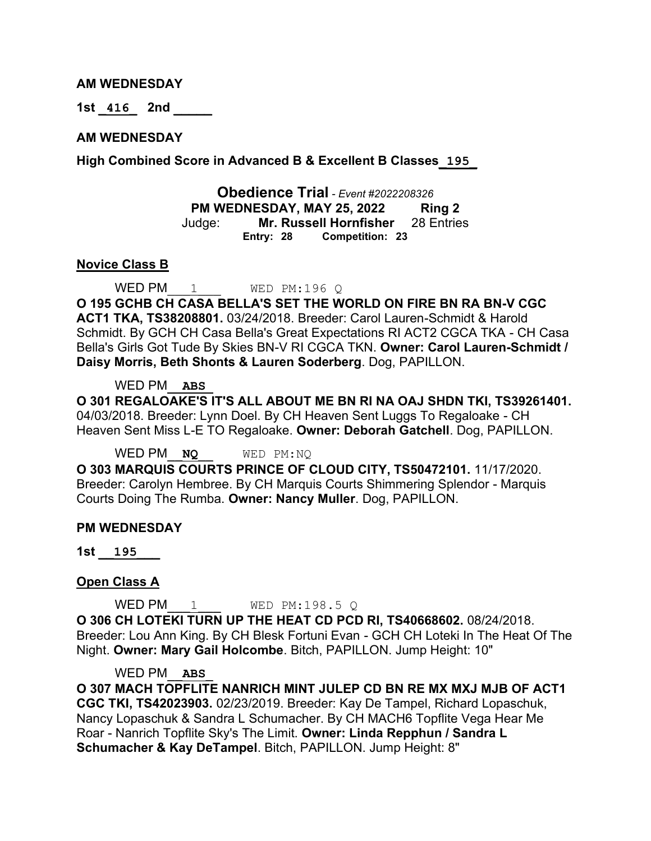#### **AM WEDNESDAY**

**1st \_416\_ 2nd \_\_\_\_\_** 

#### **AM WEDNESDAY**

**High Combined Score in Advanced B & Excellent B Classes\_195\_**

**Obedience Trial** *- Event #2022208326* **PM WEDNESDAY, MAY 25, 2022 Ring 2** Judge: **Mr. Russell Hornfisher** 28 Entries **Entry: 28 Competition: 23**

#### **Novice Class B**

WED PM  $1$  WED PM:196 Q

**O 195 GCHB CH CASA BELLA'S SET THE WORLD ON FIRE BN RA BN-V CGC ACT1 TKA, TS38208801.** 03/24/2018. Breeder: Carol Lauren-Schmidt & Harold Schmidt. By GCH CH Casa Bella's Great Expectations RI ACT2 CGCA TKA - CH Casa Bella's Girls Got Tude By Skies BN-V RI CGCA TKN. **Owner: Carol Lauren-Schmidt / Daisy Morris, Beth Shonts & Lauren Soderberg**. Dog, PAPILLON.

#### WED PM\_\_**ABS**\_

**O 301 REGALOAKE'S IT'S ALL ABOUT ME BN RI NA OAJ SHDN TKI, TS39261401.**  04/03/2018. Breeder: Lynn Doel. By CH Heaven Sent Luggs To Regaloake - CH Heaven Sent Miss L-E TO Regaloake. **Owner: Deborah Gatchell**. Dog, PAPILLON.

WED PM\_\_**NQ**\_\_ WED PM:NQ

**O 303 MARQUIS COURTS PRINCE OF CLOUD CITY, TS50472101.** 11/17/2020. Breeder: Carolyn Hembree. By CH Marquis Courts Shimmering Splendor - Marquis Courts Doing The Rumba. **Owner: Nancy Muller**. Dog, PAPILLON.

#### **PM WEDNESDAY**

**1st \_\_195\_\_\_** 

#### **Open Class A**

WED PM  $1$  WED PM:198.5 Q

**O 306 CH LOTEKI TURN UP THE HEAT CD PCD RI, TS40668602.** 08/24/2018. Breeder: Lou Ann King. By CH Blesk Fortuni Evan - GCH CH Loteki In The Heat Of The Night. **Owner: Mary Gail Holcombe**. Bitch, PAPILLON. Jump Height: 10"

#### WED PM\_\_**ABS**\_

**O 307 MACH TOPFLITE NANRICH MINT JULEP CD BN RE MX MXJ MJB OF ACT1 CGC TKI, TS42023903.** 02/23/2019. Breeder: Kay De Tampel, Richard Lopaschuk, Nancy Lopaschuk & Sandra L Schumacher. By CH MACH6 Topflite Vega Hear Me Roar - Nanrich Topflite Sky's The Limit. **Owner: Linda Repphun / Sandra L Schumacher & Kay DeTampel**. Bitch, PAPILLON. Jump Height: 8"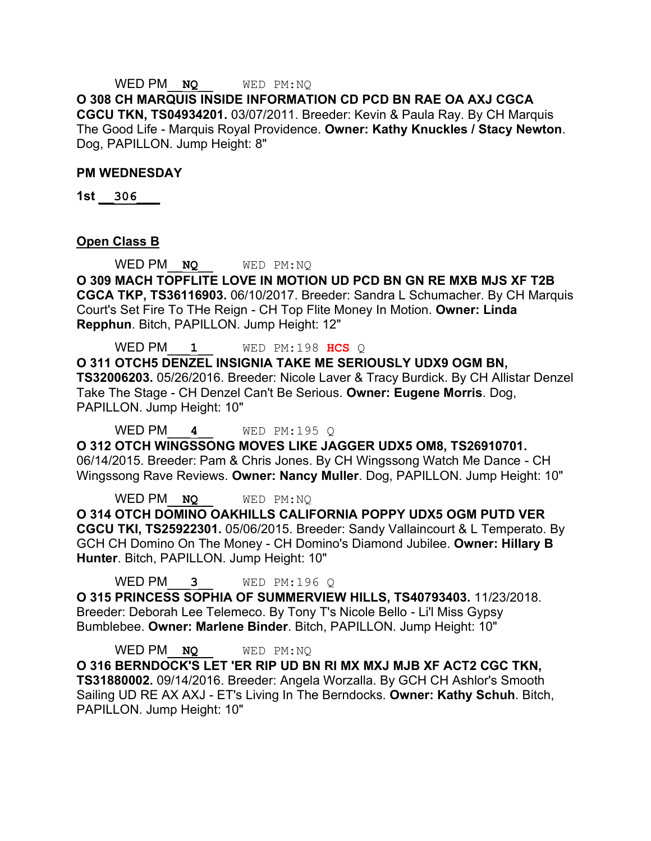# WED PM\_\_**NQ**\_\_ WED PM:NQ

**O 308 CH MARQUIS INSIDE INFORMATION CD PCD BN RAE OA AXJ CGCA CGCU TKN, TS04934201.** 03/07/2011. Breeder: Kevin & Paula Ray. By CH Marquis The Good Life - Marquis Royal Providence. **Owner: Kathy Knuckles / Stacy Newton**. Dog, PAPILLON. Jump Height: 8"

#### **PM WEDNESDAY**

**1st \_\_306\_\_\_** 

#### **Open Class B**

WED PM<sub>\_</sub>**NO** WED PM:NO

**O 309 MACH TOPFLITE LOVE IN MOTION UD PCD BN GN RE MXB MJS XF T2B CGCA TKP, TS36116903.** 06/10/2017. Breeder: Sandra L Schumacher. By CH Marquis Court's Set Fire To THe Reign - CH Top Flite Money In Motion. **Owner: Linda Repphun**. Bitch, PAPILLON. Jump Height: 12"

WED PM\_\_\_**1**\_\_ WED PM:198 **HCS** Q

**O 311 OTCH5 DENZEL INSIGNIA TAKE ME SERIOUSLY UDX9 OGM BN, TS32006203.** 05/26/2016. Breeder: Nicole Laver & Tracy Burdick. By CH Allistar Denzel Take The Stage - CH Denzel Can't Be Serious. **Owner: Eugene Morris**. Dog, PAPILLON. Jump Height: 10"

WED PM\_\_\_**4**\_\_ WED PM:195 Q

**O 312 OTCH WINGSSONG MOVES LIKE JAGGER UDX5 OM8, TS26910701.**  06/14/2015. Breeder: Pam & Chris Jones. By CH Wingssong Watch Me Dance - CH Wingssong Rave Reviews. **Owner: Nancy Muller**. Dog, PAPILLON. Jump Height: 10"

WED PM\_\_**NQ**\_\_ WED PM:NQ **O 314 OTCH DOMINO OAKHILLS CALIFORNIA POPPY UDX5 OGM PUTD VER CGCU TKI, TS25922301.** 05/06/2015. Breeder: Sandy Vallaincourt & L Temperato. By GCH CH Domino On The Money - CH Domino's Diamond Jubilee. **Owner: Hillary B Hunter**. Bitch, PAPILLON. Jump Height: 10"

WED PM\_\_\_**3**\_\_ WED PM:196 Q

**O 315 PRINCESS SOPHIA OF SUMMERVIEW HILLS, TS40793403.** 11/23/2018. Breeder: Deborah Lee Telemeco. By Tony T's Nicole Bello - Li'l Miss Gypsy Bumblebee. **Owner: Marlene Binder**. Bitch, PAPILLON. Jump Height: 10"

WED PM\_\_**NQ**\_\_ WED PM:NQ **O 316 BERNDOCK'S LET 'ER RIP UD BN RI MX MXJ MJB XF ACT2 CGC TKN, TS31880002.** 09/14/2016. Breeder: Angela Worzalla. By GCH CH Ashlor's Smooth Sailing UD RE AX AXJ - ET's Living In The Berndocks. **Owner: Kathy Schuh**. Bitch, PAPILLON. Jump Height: 10"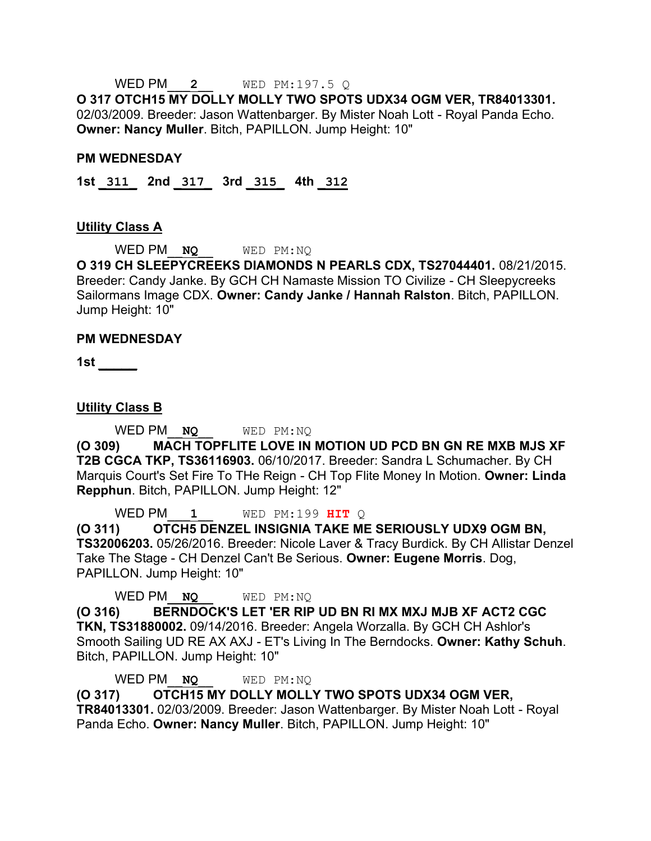WED PM\_\_\_**2**\_\_ WED PM:197.5 Q

**O 317 OTCH15 MY DOLLY MOLLY TWO SPOTS UDX34 OGM VER, TR84013301.**  02/03/2009. Breeder: Jason Wattenbarger. By Mister Noah Lott - Royal Panda Echo. **Owner: Nancy Muller**. Bitch, PAPILLON. Jump Height: 10"

#### **PM WEDNESDAY**

**1st \_311\_ 2nd \_317\_ 3rd \_315\_ 4th \_312**

#### **Utility Class A**

WED PM\_\_**NQ**\_\_ WED PM:NQ

**O 319 CH SLEEPYCREEKS DIAMONDS N PEARLS CDX, TS27044401.** 08/21/2015. Breeder: Candy Janke. By GCH CH Namaste Mission TO Civilize - CH Sleepycreeks Sailormans Image CDX. **Owner: Candy Janke / Hannah Ralston**. Bitch, PAPILLON. Jump Height: 10"

#### **PM WEDNESDAY**

**1st \_\_\_\_\_** 

**Utility Class B**

WED PM\_\_**NQ**\_\_ WED PM:NQ

**(O 309) MACH TOPFLITE LOVE IN MOTION UD PCD BN GN RE MXB MJS XF T2B CGCA TKP, TS36116903.** 06/10/2017. Breeder: Sandra L Schumacher. By CH Marquis Court's Set Fire To THe Reign - CH Top Flite Money In Motion. **Owner: Linda Repphun**. Bitch, PAPILLON. Jump Height: 12"

WED PM\_\_\_**1**\_\_ WED PM:199 **HIT** Q

**(O 311) OTCH5 DENZEL INSIGNIA TAKE ME SERIOUSLY UDX9 OGM BN, TS32006203.** 05/26/2016. Breeder: Nicole Laver & Tracy Burdick. By CH Allistar Denzel Take The Stage - CH Denzel Can't Be Serious. **Owner: Eugene Morris**. Dog, PAPILLON. Jump Height: 10"

WED PM\_**NQ** WED PM:NO

**(O 316) BERNDOCK'S LET 'ER RIP UD BN RI MX MXJ MJB XF ACT2 CGC TKN, TS31880002.** 09/14/2016. Breeder: Angela Worzalla. By GCH CH Ashlor's Smooth Sailing UD RE AX AXJ - ET's Living In The Berndocks. **Owner: Kathy Schuh**. Bitch, PAPILLON. Jump Height: 10"

WED PM\_\_**NQ**\_\_ WED PM:NQ

**(O 317) OTCH15 MY DOLLY MOLLY TWO SPOTS UDX34 OGM VER, TR84013301.** 02/03/2009. Breeder: Jason Wattenbarger. By Mister Noah Lott - Royal Panda Echo. **Owner: Nancy Muller**. Bitch, PAPILLON. Jump Height: 10"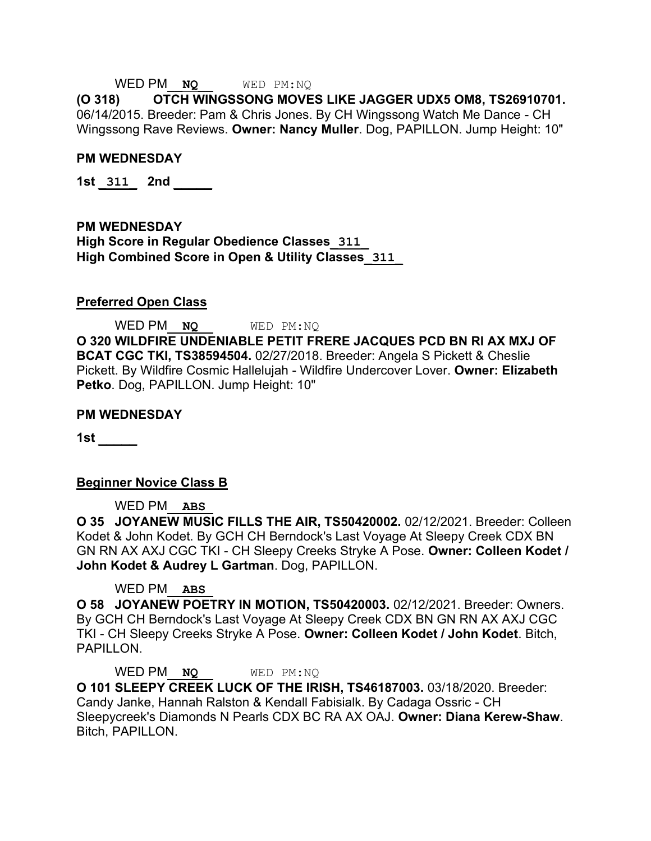#### WED PM\_\_**NQ**\_\_ WED PM:NQ

**(O 318) OTCH WINGSSONG MOVES LIKE JAGGER UDX5 OM8, TS26910701.**  06/14/2015. Breeder: Pam & Chris Jones. By CH Wingssong Watch Me Dance - CH Wingssong Rave Reviews. **Owner: Nancy Muller**. Dog, PAPILLON. Jump Height: 10"

#### **PM WEDNESDAY**

**1st \_311\_ 2nd \_\_\_\_\_** 

**PM WEDNESDAY High Score in Regular Obedience Classes\_311\_ High Combined Score in Open & Utility Classes\_311\_**

#### **Preferred Open Class**

WED PM\_\_**NQ**\_\_ WED PM:NQ **O 320 WILDFIRE UNDENIABLE PETIT FRERE JACQUES PCD BN RI AX MXJ OF BCAT CGC TKI, TS38594504.** 02/27/2018. Breeder: Angela S Pickett & Cheslie Pickett. By Wildfire Cosmic Hallelujah - Wildfire Undercover Lover. **Owner: Elizabeth Petko**. Dog, PAPILLON. Jump Height: 10"

#### **PM WEDNESDAY**

**1st \_\_\_\_\_** 

#### **Beginner Novice Class B**

WED PM\_\_**ABS**\_

**O 35 JOYANEW MUSIC FILLS THE AIR, TS50420002.** 02/12/2021. Breeder: Colleen Kodet & John Kodet. By GCH CH Berndock's Last Voyage At Sleepy Creek CDX BN GN RN AX AXJ CGC TKI - CH Sleepy Creeks Stryke A Pose. **Owner: Colleen Kodet / John Kodet & Audrey L Gartman**. Dog, PAPILLON.

#### WED PM\_\_**ABS**\_

**O 58 JOYANEW POETRY IN MOTION, TS50420003.** 02/12/2021. Breeder: Owners. By GCH CH Berndock's Last Voyage At Sleepy Creek CDX BN GN RN AX AXJ CGC TKI - CH Sleepy Creeks Stryke A Pose. **Owner: Colleen Kodet / John Kodet**. Bitch, PAPILLON.

WED PM\_**NQ** WED PM:NO

**O 101 SLEEPY CREEK LUCK OF THE IRISH, TS46187003.** 03/18/2020. Breeder: Candy Janke, Hannah Ralston & Kendall Fabisialk. By Cadaga Ossric - CH Sleepycreek's Diamonds N Pearls CDX BC RA AX OAJ. **Owner: Diana Kerew-Shaw**. Bitch, PAPILLON.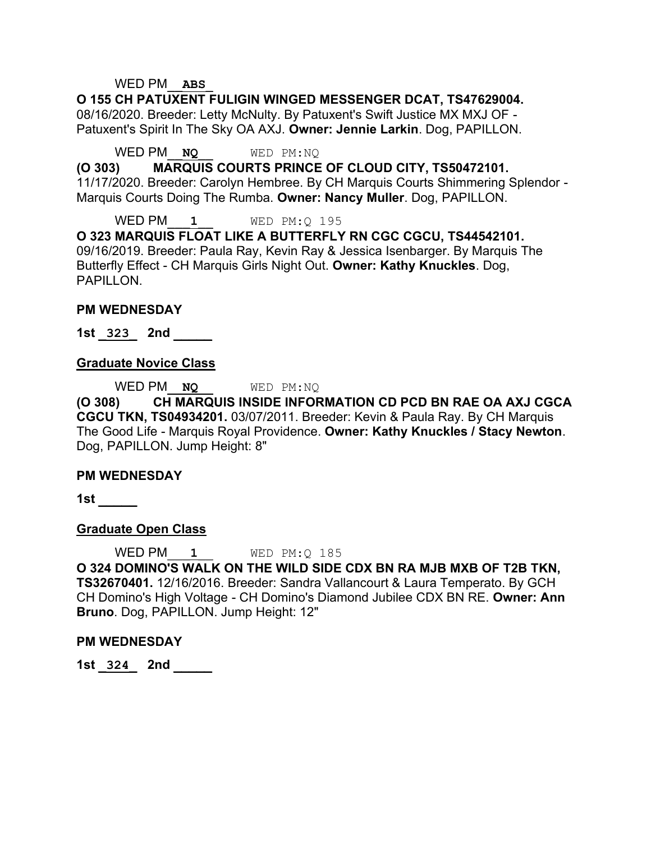#### WED PM\_\_**ABS**\_

**O 155 CH PATUXENT FULIGIN WINGED MESSENGER DCAT, TS47629004.**  08/16/2020. Breeder: Letty McNulty. By Patuxent's Swift Justice MX MXJ OF - Patuxent's Spirit In The Sky OA AXJ. **Owner: Jennie Larkin**. Dog, PAPILLON.

WED PM\_\_**NQ**\_\_ WED PM:NQ

**(O 303) MARQUIS COURTS PRINCE OF CLOUD CITY, TS50472101.**  11/17/2020. Breeder: Carolyn Hembree. By CH Marquis Courts Shimmering Splendor - Marquis Courts Doing The Rumba. **Owner: Nancy Muller**. Dog, PAPILLON.

WED PM\_\_\_**1**\_\_ WED PM:Q 195 **O 323 MARQUIS FLOAT LIKE A BUTTERFLY RN CGC CGCU, TS44542101.**  09/16/2019. Breeder: Paula Ray, Kevin Ray & Jessica Isenbarger. By Marquis The Butterfly Effect - CH Marquis Girls Night Out. **Owner: Kathy Knuckles**. Dog, PAPILLON.

#### **PM WEDNESDAY**

**1st \_323\_ 2nd \_\_\_\_\_** 

#### **Graduate Novice Class**

WED PM\_\_**NQ**\_\_ WED PM:NQ

**(O 308) CH MARQUIS INSIDE INFORMATION CD PCD BN RAE OA AXJ CGCA CGCU TKN, TS04934201.** 03/07/2011. Breeder: Kevin & Paula Ray. By CH Marquis The Good Life - Marquis Royal Providence. **Owner: Kathy Knuckles / Stacy Newton**. Dog, PAPILLON. Jump Height: 8"

#### **PM WEDNESDAY**

**1st \_\_\_\_\_** 

#### **Graduate Open Class**

WED PM<sub>2</sub> 1<br>WED PM:Q 185 **O 324 DOMINO'S WALK ON THE WILD SIDE CDX BN RA MJB MXB OF T2B TKN, TS32670401.** 12/16/2016. Breeder: Sandra Vallancourt & Laura Temperato. By GCH CH Domino's High Voltage - CH Domino's Diamond Jubilee CDX BN RE. **Owner: Ann Bruno**. Dog, PAPILLON. Jump Height: 12"

#### **PM WEDNESDAY**

**1st \_324\_ 2nd \_\_\_\_\_**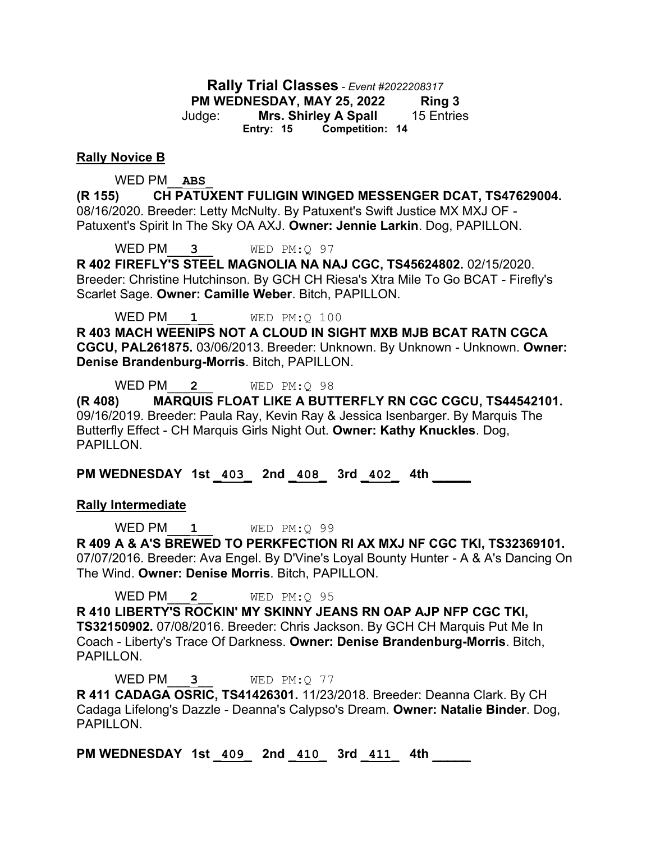**Rally Trial Classes** *- Event #2022208317* **PM WEDNESDAY, MAY 25, 2022 Ring 3** Judge: **Mrs. Shirley A Spall** 15 Entries **Entry: 15 Competition: 14**

#### **Rally Novice B**

#### WED PM\_\_**ABS**\_

**(R 155) CH PATUXENT FULIGIN WINGED MESSENGER DCAT, TS47629004.**  08/16/2020. Breeder: Letty McNulty. By Patuxent's Swift Justice MX MXJ OF - Patuxent's Spirit In The Sky OA AXJ. **Owner: Jennie Larkin**. Dog, PAPILLON.

WED PM\_\_\_**3**\_\_ WED PM:Q 97

**R 402 FIREFLY'S STEEL MAGNOLIA NA NAJ CGC, TS45624802.** 02/15/2020. Breeder: Christine Hutchinson. By GCH CH Riesa's Xtra Mile To Go BCAT - Firefly's Scarlet Sage. **Owner: Camille Weber**. Bitch, PAPILLON.

WED PM<sub>2</sub> 1<br>WED PM: Q<sub>100</sub>

**R 403 MACH WEENIPS NOT A CLOUD IN SIGHT MXB MJB BCAT RATN CGCA CGCU, PAL261875.** 03/06/2013. Breeder: Unknown. By Unknown - Unknown. **Owner: Denise Brandenburg-Morris**. Bitch, PAPILLON.

WED PM\_\_\_**2**\_\_ WED PM:Q 98

**(R 408) MARQUIS FLOAT LIKE A BUTTERFLY RN CGC CGCU, TS44542101.**  09/16/2019. Breeder: Paula Ray, Kevin Ray & Jessica Isenbarger. By Marquis The Butterfly Effect - CH Marquis Girls Night Out. **Owner: Kathy Knuckles**. Dog, PAPILLON.

**PM WEDNESDAY 1st \_403\_ 2nd \_408\_ 3rd \_402\_ 4th \_\_\_\_\_** 

#### **Rally Intermediate**

WED PM\_\_\_**1**\_\_ WED PM:Q 99

**R 409 A & A'S BREWED TO PERKFECTION RI AX MXJ NF CGC TKI, TS32369101.**  07/07/2016. Breeder: Ava Engel. By D'Vine's Loyal Bounty Hunter - A & A's Dancing On The Wind. **Owner: Denise Morris**. Bitch, PAPILLON.

WED PM\_\_\_**2**\_\_ WED PM:Q 95

**R 410 LIBERTY'S ROCKIN' MY SKINNY JEANS RN OAP AJP NFP CGC TKI, TS32150902.** 07/08/2016. Breeder: Chris Jackson. By GCH CH Marquis Put Me In Coach - Liberty's Trace Of Darkness. **Owner: Denise Brandenburg-Morris**. Bitch, PAPILLON.

WED PM\_\_\_**3**\_\_ WED PM:Q 77

**R 411 CADAGA OSRIC, TS41426301.** 11/23/2018. Breeder: Deanna Clark. By CH Cadaga Lifelong's Dazzle - Deanna's Calypso's Dream. **Owner: Natalie Binder**. Dog, PAPILLON.

**PM WEDNESDAY 1st \_409\_ 2nd \_410\_ 3rd \_411\_ 4th \_\_\_\_\_**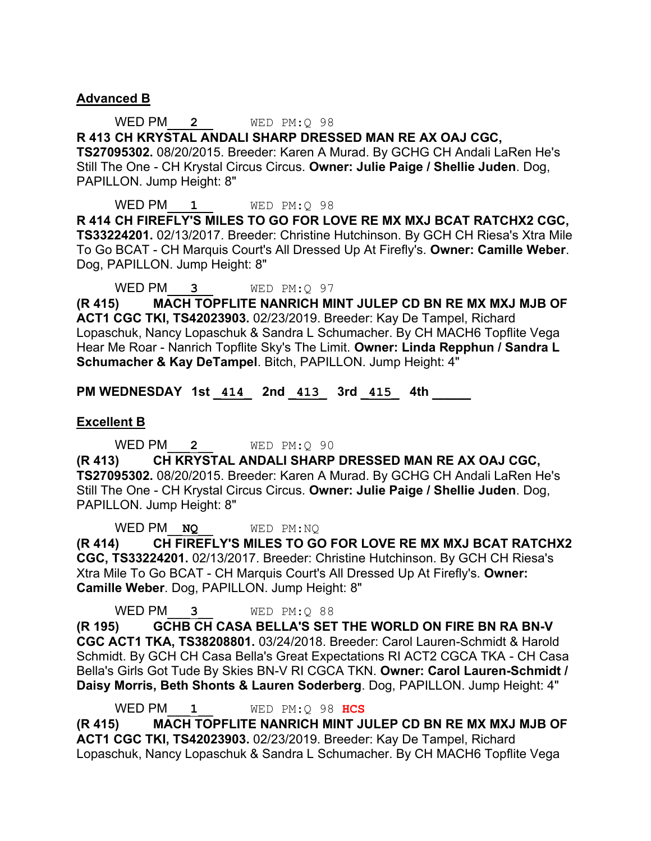### **Advanced B**

WED PM\_\_\_**2**\_\_ WED PM:Q 98 **R 413 CH KRYSTAL ANDALI SHARP DRESSED MAN RE AX OAJ CGC, TS27095302.** 08/20/2015. Breeder: Karen A Murad. By GCHG CH Andali LaRen He's Still The One - CH Krystal Circus Circus. **Owner: Julie Paige / Shellie Juden**. Dog, PAPILLON. Jump Height: 8"

WED PM  $1$  WED PM:Q 98 **R 414 CH FIREFLY'S MILES TO GO FOR LOVE RE MX MXJ BCAT RATCHX2 CGC, TS33224201.** 02/13/2017. Breeder: Christine Hutchinson. By GCH CH Riesa's Xtra Mile To Go BCAT - CH Marquis Court's All Dressed Up At Firefly's. **Owner: Camille Weber**. Dog, PAPILLON. Jump Height: 8"

WED PM\_\_\_**3**\_\_ WED PM:Q 97

**(R 415) MACH TOPFLITE NANRICH MINT JULEP CD BN RE MX MXJ MJB OF ACT1 CGC TKI, TS42023903.** 02/23/2019. Breeder: Kay De Tampel, Richard Lopaschuk, Nancy Lopaschuk & Sandra L Schumacher. By CH MACH6 Topflite Vega Hear Me Roar - Nanrich Topflite Sky's The Limit. **Owner: Linda Repphun / Sandra L Schumacher & Kay DeTampel**. Bitch, PAPILLON. Jump Height: 4"

**PM WEDNESDAY 1st \_414\_ 2nd \_413\_ 3rd \_415\_ 4th \_\_\_\_\_** 

#### **Excellent B**

WED PM\_\_\_**2**\_\_ WED PM:Q 90

**(R 413) CH KRYSTAL ANDALI SHARP DRESSED MAN RE AX OAJ CGC, TS27095302.** 08/20/2015. Breeder: Karen A Murad. By GCHG CH Andali LaRen He's Still The One - CH Krystal Circus Circus. **Owner: Julie Paige / Shellie Juden**. Dog, PAPILLON. Jump Height: 8"

WED PM\_\_**NQ**\_\_ WED PM:NQ

**(R 414) CH FIREFLY'S MILES TO GO FOR LOVE RE MX MXJ BCAT RATCHX2 CGC, TS33224201.** 02/13/2017. Breeder: Christine Hutchinson. By GCH CH Riesa's Xtra Mile To Go BCAT - CH Marquis Court's All Dressed Up At Firefly's. **Owner: Camille Weber**. Dog, PAPILLON. Jump Height: 8"

WED PM\_\_\_**3**\_\_ WED PM:Q 88

**(R 195) GCHB CH CASA BELLA'S SET THE WORLD ON FIRE BN RA BN-V CGC ACT1 TKA, TS38208801.** 03/24/2018. Breeder: Carol Lauren-Schmidt & Harold Schmidt. By GCH CH Casa Bella's Great Expectations RI ACT2 CGCA TKA - CH Casa Bella's Girls Got Tude By Skies BN-V RI CGCA TKN. **Owner: Carol Lauren-Schmidt / Daisy Morris, Beth Shonts & Lauren Soderberg**. Dog, PAPILLON. Jump Height: 4"

WED PM\_\_\_**1**\_\_ WED PM:Q 98 **HCS**

**(R 415) MACH TOPFLITE NANRICH MINT JULEP CD BN RE MX MXJ MJB OF ACT1 CGC TKI, TS42023903.** 02/23/2019. Breeder: Kay De Tampel, Richard Lopaschuk, Nancy Lopaschuk & Sandra L Schumacher. By CH MACH6 Topflite Vega